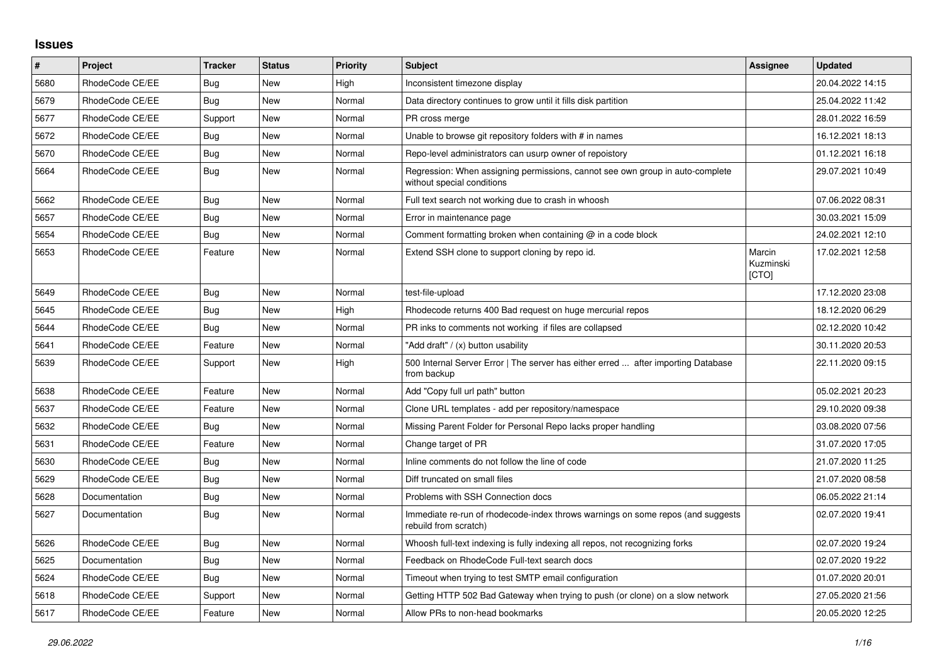## **Issues**

| #    | Project         | <b>Tracker</b> | <b>Status</b> | <b>Priority</b> | <b>Subject</b>                                                                                              | Assignee                            | <b>Updated</b>   |
|------|-----------------|----------------|---------------|-----------------|-------------------------------------------------------------------------------------------------------------|-------------------------------------|------------------|
| 5680 | RhodeCode CE/EE | Bug            | <b>New</b>    | High            | Inconsistent timezone display                                                                               |                                     | 20.04.2022 14:15 |
| 5679 | RhodeCode CE/EE | <b>Bug</b>     | <b>New</b>    | Normal          | Data directory continues to grow until it fills disk partition                                              |                                     | 25.04.2022 11:42 |
| 5677 | RhodeCode CE/EE | Support        | <b>New</b>    | Normal          | PR cross merge                                                                                              |                                     | 28.01.2022 16:59 |
| 5672 | RhodeCode CE/EE | Bug            | <b>New</b>    | Normal          | Unable to browse git repository folders with # in names                                                     |                                     | 16.12.2021 18:13 |
| 5670 | RhodeCode CE/EE | Bug            | <b>New</b>    | Normal          | Repo-level administrators can usurp owner of repoistory                                                     |                                     | 01.12.2021 16:18 |
| 5664 | RhodeCode CE/EE | Bug            | <b>New</b>    | Normal          | Regression: When assigning permissions, cannot see own group in auto-complete<br>without special conditions |                                     | 29.07.2021 10:49 |
| 5662 | RhodeCode CE/EE | Bug            | New           | Normal          | Full text search not working due to crash in whoosh                                                         |                                     | 07.06.2022 08:31 |
| 5657 | RhodeCode CE/EE | <b>Bug</b>     | <b>New</b>    | Normal          | Error in maintenance page                                                                                   |                                     | 30.03.2021 15:09 |
| 5654 | RhodeCode CE/EE | Bug            | <b>New</b>    | Normal          | Comment formatting broken when containing $@$ in a code block                                               |                                     | 24.02.2021 12:10 |
| 5653 | RhodeCode CE/EE | Feature        | New           | Normal          | Extend SSH clone to support cloning by repo id.                                                             | Marcin<br>Kuzminski<br><b>[CTO]</b> | 17.02.2021 12:58 |
| 5649 | RhodeCode CE/EE | Bug            | <b>New</b>    | Normal          | test-file-upload                                                                                            |                                     | 17.12.2020 23:08 |
| 5645 | RhodeCode CE/EE | Bug            | <b>New</b>    | High            | Rhodecode returns 400 Bad request on huge mercurial repos                                                   |                                     | 18.12.2020 06:29 |
| 5644 | RhodeCode CE/EE | Bug            | <b>New</b>    | Normal          | PR inks to comments not working if files are collapsed                                                      |                                     | 02.12.2020 10:42 |
| 5641 | RhodeCode CE/EE | Feature        | <b>New</b>    | Normal          | "Add draft" / (x) button usability                                                                          |                                     | 30.11.2020 20:53 |
| 5639 | RhodeCode CE/EE | Support        | <b>New</b>    | High            | 500 Internal Server Error   The server has either erred  after importing Database<br>from backup            |                                     | 22.11.2020 09:15 |
| 5638 | RhodeCode CE/EE | Feature        | New           | Normal          | Add "Copy full url path" button                                                                             |                                     | 05.02.2021 20:23 |
| 5637 | RhodeCode CE/EE | Feature        | <b>New</b>    | Normal          | Clone URL templates - add per repository/namespace                                                          |                                     | 29.10.2020 09:38 |
| 5632 | RhodeCode CE/EE | Bug            | <b>New</b>    | Normal          | Missing Parent Folder for Personal Repo lacks proper handling                                               |                                     | 03.08.2020 07:56 |
| 5631 | RhodeCode CE/EE | Feature        | <b>New</b>    | Normal          | Change target of PR                                                                                         |                                     | 31.07.2020 17:05 |
| 5630 | RhodeCode CE/EE | <b>Bug</b>     | <b>New</b>    | Normal          | Inline comments do not follow the line of code                                                              |                                     | 21.07.2020 11:25 |
| 5629 | RhodeCode CE/EE | Bug            | <b>New</b>    | Normal          | Diff truncated on small files                                                                               |                                     | 21.07.2020 08:58 |
| 5628 | Documentation   | <b>Bug</b>     | <b>New</b>    | Normal          | Problems with SSH Connection docs                                                                           |                                     | 06.05.2022 21:14 |
| 5627 | Documentation   | <b>Bug</b>     | <b>New</b>    | Normal          | Immediate re-run of rhodecode-index throws warnings on some repos (and suggests<br>rebuild from scratch)    |                                     | 02.07.2020 19:41 |
| 5626 | RhodeCode CE/EE | Bug            | <b>New</b>    | Normal          | Whoosh full-text indexing is fully indexing all repos, not recognizing forks                                |                                     | 02.07.2020 19:24 |
| 5625 | Documentation   | Bug            | <b>New</b>    | Normal          | Feedback on RhodeCode Full-text search docs                                                                 |                                     | 02.07.2020 19:22 |
| 5624 | RhodeCode CE/EE | Bug            | <b>New</b>    | Normal          | Timeout when trying to test SMTP email configuration                                                        |                                     | 01.07.2020 20:01 |
| 5618 | RhodeCode CE/EE | Support        | <b>New</b>    | Normal          | Getting HTTP 502 Bad Gateway when trying to push (or clone) on a slow network                               |                                     | 27.05.2020 21:56 |
| 5617 | RhodeCode CE/EE | Feature        | New           | Normal          | Allow PRs to non-head bookmarks                                                                             |                                     | 20.05.2020 12:25 |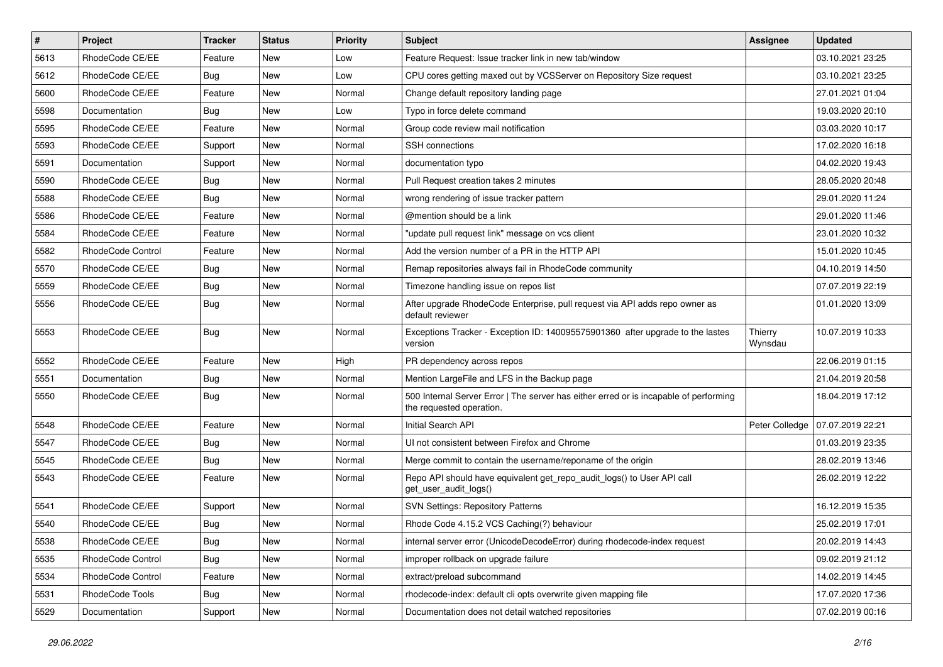| $\sharp$ | Project                  | <b>Tracker</b> | <b>Status</b> | <b>Priority</b> | Subject                                                                                                           | <b>Assignee</b>    | <b>Updated</b>   |
|----------|--------------------------|----------------|---------------|-----------------|-------------------------------------------------------------------------------------------------------------------|--------------------|------------------|
| 5613     | RhodeCode CE/EE          | Feature        | New           | Low             | Feature Request: Issue tracker link in new tab/window                                                             |                    | 03.10.2021 23:25 |
| 5612     | RhodeCode CE/EE          | Bug            | <b>New</b>    | Low             | CPU cores getting maxed out by VCSServer on Repository Size request                                               |                    | 03.10.2021 23:25 |
| 5600     | RhodeCode CE/EE          | Feature        | New           | Normal          | Change default repository landing page                                                                            |                    | 27.01.2021 01:04 |
| 5598     | Documentation            | Bug            | New           | Low             | Typo in force delete command                                                                                      |                    | 19.03.2020 20:10 |
| 5595     | RhodeCode CE/EE          | Feature        | <b>New</b>    | Normal          | Group code review mail notification                                                                               |                    | 03.03.2020 10:17 |
| 5593     | RhodeCode CE/EE          | Support        | New           | Normal          | <b>SSH</b> connections                                                                                            |                    | 17.02.2020 16:18 |
| 5591     | Documentation            | Support        | <b>New</b>    | Normal          | documentation typo                                                                                                |                    | 04.02.2020 19:43 |
| 5590     | RhodeCode CE/EE          | Bug            | New           | Normal          | Pull Request creation takes 2 minutes                                                                             |                    | 28.05.2020 20:48 |
| 5588     | RhodeCode CE/EE          | Bug            | New           | Normal          | wrong rendering of issue tracker pattern                                                                          |                    | 29.01.2020 11:24 |
| 5586     | RhodeCode CE/EE          | Feature        | <b>New</b>    | Normal          | @mention should be a link                                                                                         |                    | 29.01.2020 11:46 |
| 5584     | RhodeCode CE/EE          | Feature        | New           | Normal          | "update pull request link" message on vcs client                                                                  |                    | 23.01.2020 10:32 |
| 5582     | <b>RhodeCode Control</b> | Feature        | New           | Normal          | Add the version number of a PR in the HTTP API                                                                    |                    | 15.01.2020 10:45 |
| 5570     | RhodeCode CE/EE          | <b>Bug</b>     | New           | Normal          | Remap repositories always fail in RhodeCode community                                                             |                    | 04.10.2019 14:50 |
| 5559     | RhodeCode CE/EE          | Bug            | New           | Normal          | Timezone handling issue on repos list                                                                             |                    | 07.07.2019 22:19 |
| 5556     | RhodeCode CE/EE          | Bug            | New           | Normal          | After upgrade RhodeCode Enterprise, pull request via API adds repo owner as<br>default reviewer                   |                    | 01.01.2020 13:09 |
| 5553     | RhodeCode CE/EE          | Bug            | New           | Normal          | Exceptions Tracker - Exception ID: 140095575901360 after upgrade to the lastes<br>version                         | Thierry<br>Wynsdau | 10.07.2019 10:33 |
| 5552     | RhodeCode CE/EE          | Feature        | <b>New</b>    | High            | PR dependency across repos                                                                                        |                    | 22.06.2019 01:15 |
| 5551     | Documentation            | Bug            | New           | Normal          | Mention LargeFile and LFS in the Backup page                                                                      |                    | 21.04.2019 20:58 |
| 5550     | RhodeCode CE/EE          | <b>Bug</b>     | New           | Normal          | 500 Internal Server Error   The server has either erred or is incapable of performing<br>the requested operation. |                    | 18.04.2019 17:12 |
| 5548     | RhodeCode CE/EE          | Feature        | <b>New</b>    | Normal          | Initial Search API                                                                                                | Peter Colledge     | 07.07.2019 22:21 |
| 5547     | RhodeCode CE/EE          | Bug            | New           | Normal          | UI not consistent between Firefox and Chrome                                                                      |                    | 01.03.2019 23:35 |
| 5545     | RhodeCode CE/EE          | <b>Bug</b>     | New           | Normal          | Merge commit to contain the username/reponame of the origin                                                       |                    | 28.02.2019 13:46 |
| 5543     | RhodeCode CE/EE          | Feature        | <b>New</b>    | Normal          | Repo API should have equivalent get repo audit logs() to User API call<br>get user audit logs()                   |                    | 26.02.2019 12:22 |
| 5541     | RhodeCode CE/EE          | Support        | New           | Normal          | <b>SVN Settings: Repository Patterns</b>                                                                          |                    | 16.12.2019 15:35 |
| 5540     | RhodeCode CE/EE          | Bug            | New           | Normal          | Rhode Code 4.15.2 VCS Caching(?) behaviour                                                                        |                    | 25.02.2019 17:01 |
| 5538     | RhodeCode CE/EE          | <b>Bug</b>     | New           | Normal          | internal server error (UnicodeDecodeError) during rhodecode-index request                                         |                    | 20.02.2019 14:43 |
| 5535     | RhodeCode Control        | Bug            | New           | Normal          | improper rollback on upgrade failure                                                                              |                    | 09.02.2019 21:12 |
| 5534     | RhodeCode Control        | Feature        | New           | Normal          | extract/preload subcommand                                                                                        |                    | 14.02.2019 14:45 |
| 5531     | RhodeCode Tools          | Bug            | New           | Normal          | rhodecode-index: default cli opts overwrite given mapping file                                                    |                    | 17.07.2020 17:36 |
| 5529     | Documentation            | Support        | New           | Normal          | Documentation does not detail watched repositories                                                                |                    | 07.02.2019 00:16 |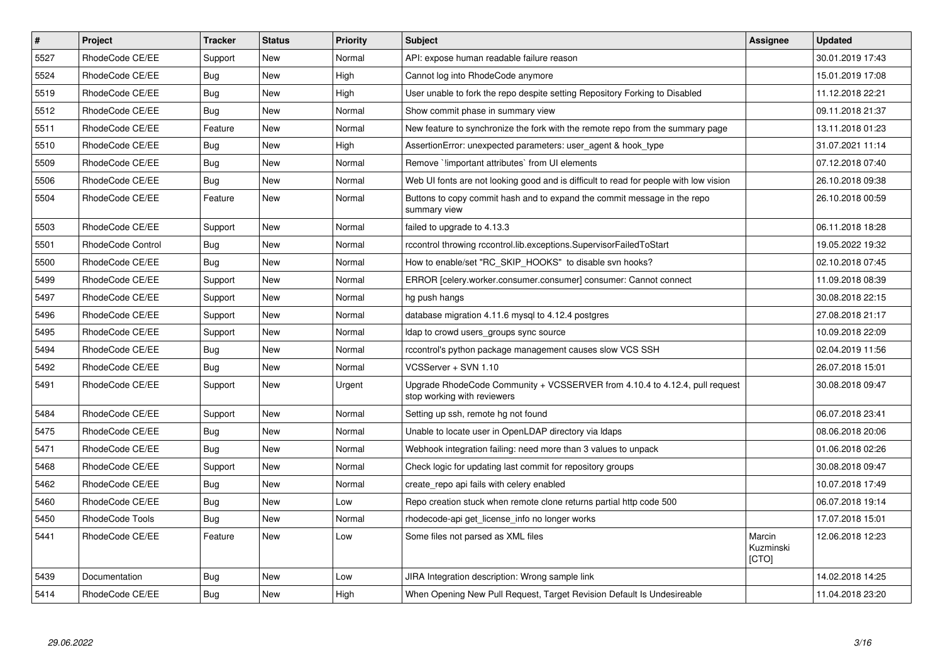| $\pmb{\#}$ | <b>Project</b>    | <b>Tracker</b> | <b>Status</b> | <b>Priority</b> | <b>Subject</b>                                                                                             | Assignee                     | <b>Updated</b>   |
|------------|-------------------|----------------|---------------|-----------------|------------------------------------------------------------------------------------------------------------|------------------------------|------------------|
| 5527       | RhodeCode CE/EE   | Support        | <b>New</b>    | Normal          | API: expose human readable failure reason                                                                  |                              | 30.01.2019 17:43 |
| 5524       | RhodeCode CE/EE   | Bug            | New           | High            | Cannot log into RhodeCode anymore                                                                          |                              | 15.01.2019 17:08 |
| 5519       | RhodeCode CE/EE   | Bug            | New           | High            | User unable to fork the repo despite setting Repository Forking to Disabled                                |                              | 11.12.2018 22:21 |
| 5512       | RhodeCode CE/EE   | Bug            | New           | Normal          | Show commit phase in summary view                                                                          |                              | 09.11.2018 21:37 |
| 5511       | RhodeCode CE/EE   | Feature        | <b>New</b>    | Normal          | New feature to synchronize the fork with the remote repo from the summary page                             |                              | 13.11.2018 01:23 |
| 5510       | RhodeCode CE/EE   | Bug            | New           | High            | AssertionError: unexpected parameters: user_agent & hook_type                                              |                              | 31.07.2021 11:14 |
| 5509       | RhodeCode CE/EE   | Bug            | New           | Normal          | Remove `limportant attributes` from UI elements                                                            |                              | 07.12.2018 07:40 |
| 5506       | RhodeCode CE/EE   | Bug            | <b>New</b>    | Normal          | Web UI fonts are not looking good and is difficult to read for people with low vision                      |                              | 26.10.2018 09:38 |
| 5504       | RhodeCode CE/EE   | Feature        | New           | Normal          | Buttons to copy commit hash and to expand the commit message in the repo<br>summary view                   |                              | 26.10.2018 00:59 |
| 5503       | RhodeCode CE/EE   | Support        | New           | Normal          | failed to upgrade to 4.13.3                                                                                |                              | 06.11.2018 18:28 |
| 5501       | RhodeCode Control | Bug            | New           | Normal          | rccontrol throwing rccontrol.lib.exceptions.SupervisorFailedToStart                                        |                              | 19.05.2022 19:32 |
| 5500       | RhodeCode CE/EE   | Bug            | New           | Normal          | How to enable/set "RC_SKIP_HOOKS" to disable svn hooks?                                                    |                              | 02.10.2018 07:45 |
| 5499       | RhodeCode CE/EE   | Support        | New           | Normal          | ERROR [celery.worker.consumer.consumer] consumer: Cannot connect                                           |                              | 11.09.2018 08:39 |
| 5497       | RhodeCode CE/EE   | Support        | <b>New</b>    | Normal          | hg push hangs                                                                                              |                              | 30.08.2018 22:15 |
| 5496       | RhodeCode CE/EE   | Support        | <b>New</b>    | Normal          | database migration 4.11.6 mysql to 4.12.4 postgres                                                         |                              | 27.08.2018 21:17 |
| 5495       | RhodeCode CE/EE   | Support        | New           | Normal          | Idap to crowd users groups sync source                                                                     |                              | 10.09.2018 22:09 |
| 5494       | RhodeCode CE/EE   | Bug            | <b>New</b>    | Normal          | rccontrol's python package management causes slow VCS SSH                                                  |                              | 02.04.2019 11:56 |
| 5492       | RhodeCode CE/EE   | Bug            | New           | Normal          | VCSServer + SVN 1.10                                                                                       |                              | 26.07.2018 15:01 |
| 5491       | RhodeCode CE/EE   | Support        | New           | Urgent          | Upgrade RhodeCode Community + VCSSERVER from 4.10.4 to 4.12.4, pull request<br>stop working with reviewers |                              | 30.08.2018 09:47 |
| 5484       | RhodeCode CE/EE   | Support        | New           | Normal          | Setting up ssh, remote hg not found                                                                        |                              | 06.07.2018 23:41 |
| 5475       | RhodeCode CE/EE   | Bug            | New           | Normal          | Unable to locate user in OpenLDAP directory via Idaps                                                      |                              | 08.06.2018 20:06 |
| 5471       | RhodeCode CE/EE   | <b>Bug</b>     | New           | Normal          | Webhook integration failing: need more than 3 values to unpack                                             |                              | 01.06.2018 02:26 |
| 5468       | RhodeCode CE/EE   | Support        | New           | Normal          | Check logic for updating last commit for repository groups                                                 |                              | 30.08.2018 09:47 |
| 5462       | RhodeCode CE/EE   | Bug            | New           | Normal          | create repo api fails with celery enabled                                                                  |                              | 10.07.2018 17:49 |
| 5460       | RhodeCode CE/EE   | <b>Bug</b>     | <b>New</b>    | Low             | Repo creation stuck when remote clone returns partial http code 500                                        |                              | 06.07.2018 19:14 |
| 5450       | RhodeCode Tools   | <b>Bug</b>     | New           | Normal          | rhodecode-api get license info no longer works                                                             |                              | 17.07.2018 15:01 |
| 5441       | RhodeCode CE/EE   | Feature        | New           | Low             | Some files not parsed as XML files                                                                         | Marcin<br>Kuzminski<br>[CTO] | 12.06.2018 12:23 |
| 5439       | Documentation     | Bug            | New           | Low             | JIRA Integration description: Wrong sample link                                                            |                              | 14.02.2018 14:25 |
| 5414       | RhodeCode CE/EE   | Bug            | New           | High            | When Opening New Pull Request, Target Revision Default Is Undesireable                                     |                              | 11.04.2018 23:20 |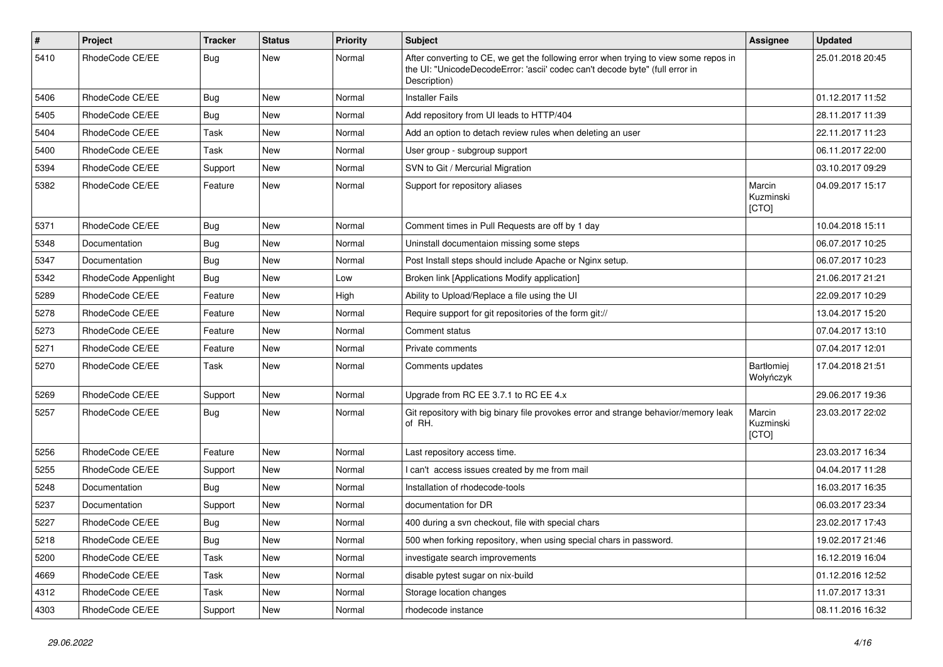| $\pmb{\#}$ | <b>Project</b>       | <b>Tracker</b> | <b>Status</b> | <b>Priority</b> | <b>Subject</b>                                                                                                                                                                       | Assignee                     | <b>Updated</b>   |
|------------|----------------------|----------------|---------------|-----------------|--------------------------------------------------------------------------------------------------------------------------------------------------------------------------------------|------------------------------|------------------|
| 5410       | RhodeCode CE/EE      | Bug            | <b>New</b>    | Normal          | After converting to CE, we get the following error when trying to view some repos in<br>the UI: "UnicodeDecodeError: 'ascii' codec can't decode byte" (full error in<br>Description) |                              | 25.01.2018 20:45 |
| 5406       | RhodeCode CE/EE      | Bug            | <b>New</b>    | Normal          | <b>Installer Fails</b>                                                                                                                                                               |                              | 01.12.2017 11:52 |
| 5405       | RhodeCode CE/EE      | Bug            | <b>New</b>    | Normal          | Add repository from UI leads to HTTP/404                                                                                                                                             |                              | 28.11.2017 11:39 |
| 5404       | RhodeCode CE/EE      | Task           | New           | Normal          | Add an option to detach review rules when deleting an user                                                                                                                           |                              | 22.11.2017 11:23 |
| 5400       | RhodeCode CE/EE      | Task           | <b>New</b>    | Normal          | User group - subgroup support                                                                                                                                                        |                              | 06.11.2017 22:00 |
| 5394       | RhodeCode CE/EE      | Support        | New           | Normal          | SVN to Git / Mercurial Migration                                                                                                                                                     |                              | 03.10.2017 09:29 |
| 5382       | RhodeCode CE/EE      | Feature        | <b>New</b>    | Normal          | Support for repository aliases                                                                                                                                                       | Marcin<br>Kuzminski<br>[CTO] | 04.09.2017 15:17 |
| 5371       | RhodeCode CE/EE      | <b>Bug</b>     | <b>New</b>    | Normal          | Comment times in Pull Requests are off by 1 day                                                                                                                                      |                              | 10.04.2018 15:11 |
| 5348       | Documentation        | Bug            | <b>New</b>    | Normal          | Uninstall documentaion missing some steps                                                                                                                                            |                              | 06.07.2017 10:25 |
| 5347       | Documentation        | <b>Bug</b>     | <b>New</b>    | Normal          | Post Install steps should include Apache or Nginx setup.                                                                                                                             |                              | 06.07.2017 10:23 |
| 5342       | RhodeCode Appenlight | Bug            | <b>New</b>    | Low             | Broken link [Applications Modify application]                                                                                                                                        |                              | 21.06.2017 21:21 |
| 5289       | RhodeCode CE/EE      | Feature        | <b>New</b>    | High            | Ability to Upload/Replace a file using the UI                                                                                                                                        |                              | 22.09.2017 10:29 |
| 5278       | RhodeCode CE/EE      | Feature        | <b>New</b>    | Normal          | Require support for git repositories of the form git://                                                                                                                              |                              | 13.04.2017 15:20 |
| 5273       | RhodeCode CE/EE      | Feature        | <b>New</b>    | Normal          | Comment status                                                                                                                                                                       |                              | 07.04.2017 13:10 |
| 5271       | RhodeCode CE/EE      | Feature        | New           | Normal          | Private comments                                                                                                                                                                     |                              | 07.04.2017 12:01 |
| 5270       | RhodeCode CE/EE      | Task           | <b>New</b>    | Normal          | Comments updates                                                                                                                                                                     | Bartłomiej<br>Wołyńczyk      | 17.04.2018 21:51 |
| 5269       | RhodeCode CE/EE      | Support        | <b>New</b>    | Normal          | Upgrade from RC EE 3.7.1 to RC EE 4.x                                                                                                                                                |                              | 29.06.2017 19:36 |
| 5257       | RhodeCode CE/EE      | <b>Bug</b>     | <b>New</b>    | Normal          | Git repository with big binary file provokes error and strange behavior/memory leak<br>of RH.                                                                                        | Marcin<br>Kuzminski<br>[CTO] | 23.03.2017 22:02 |
| 5256       | RhodeCode CE/EE      | Feature        | <b>New</b>    | Normal          | Last repository access time.                                                                                                                                                         |                              | 23.03.2017 16:34 |
| 5255       | RhodeCode CE/EE      | Support        | New           | Normal          | I can't access issues created by me from mail                                                                                                                                        |                              | 04.04.2017 11:28 |
| 5248       | Documentation        | Bug            | <b>New</b>    | Normal          | Installation of rhodecode-tools                                                                                                                                                      |                              | 16.03.2017 16:35 |
| 5237       | Documentation        | Support        | <b>New</b>    | Normal          | documentation for DR                                                                                                                                                                 |                              | 06.03.2017 23:34 |
| 5227       | RhodeCode CE/EE      | <b>Bug</b>     | <b>New</b>    | Normal          | 400 during a svn checkout, file with special chars                                                                                                                                   |                              | 23.02.2017 17:43 |
| 5218       | RhodeCode CE/EE      | <b>Bug</b>     | New           | Normal          | 500 when forking repository, when using special chars in password.                                                                                                                   |                              | 19.02.2017 21:46 |
| 5200       | RhodeCode CE/EE      | Task           | New           | Normal          | investigate search improvements                                                                                                                                                      |                              | 16.12.2019 16:04 |
| 4669       | RhodeCode CE/EE      | Task           | New           | Normal          | disable pytest sugar on nix-build                                                                                                                                                    |                              | 01.12.2016 12:52 |
| 4312       | RhodeCode CE/EE      | Task           | New           | Normal          | Storage location changes                                                                                                                                                             |                              | 11.07.2017 13:31 |
| 4303       | RhodeCode CE/EE      | Support        | New           | Normal          | rhodecode instance                                                                                                                                                                   |                              | 08.11.2016 16:32 |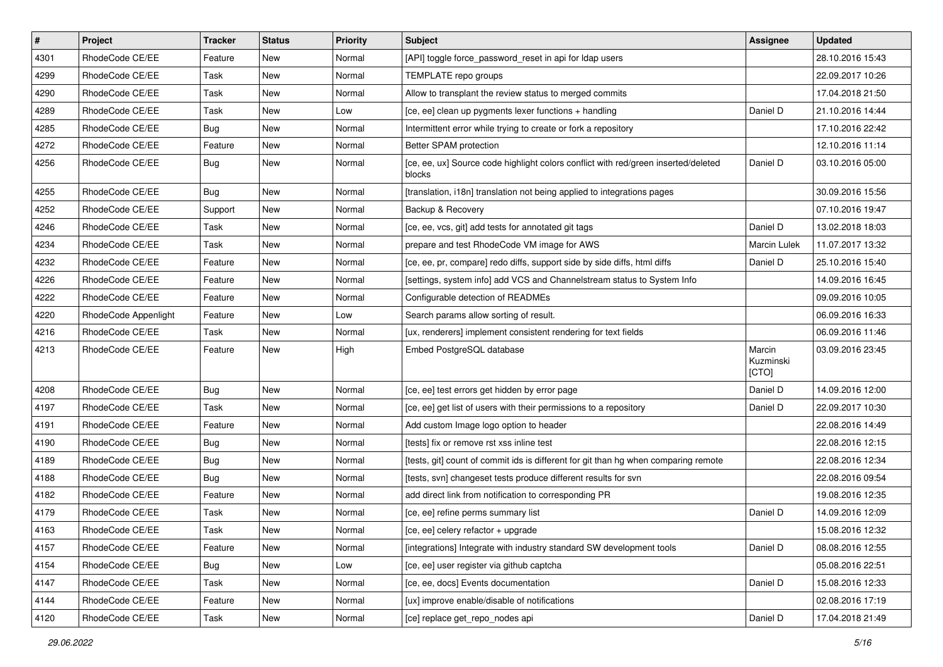| $\vert$ # | Project              | <b>Tracker</b> | <b>Status</b> | <b>Priority</b> | <b>Subject</b>                                                                               | Assignee                     | <b>Updated</b>   |
|-----------|----------------------|----------------|---------------|-----------------|----------------------------------------------------------------------------------------------|------------------------------|------------------|
| 4301      | RhodeCode CE/EE      | Feature        | New           | Normal          | [API] toggle force_password_reset in api for Idap users                                      |                              | 28.10.2016 15:43 |
| 4299      | RhodeCode CE/EE      | Task           | New           | Normal          | TEMPLATE repo groups                                                                         |                              | 22.09.2017 10:26 |
| 4290      | RhodeCode CE/EE      | Task           | New           | Normal          | Allow to transplant the review status to merged commits                                      |                              | 17.04.2018 21:50 |
| 4289      | RhodeCode CE/EE      | Task           | New           | Low             | [ce, ee] clean up pygments lexer functions + handling                                        | Daniel D                     | 21.10.2016 14:44 |
| 4285      | RhodeCode CE/EE      | Bug            | <b>New</b>    | Normal          | Intermittent error while trying to create or fork a repository                               |                              | 17.10.2016 22:42 |
| 4272      | RhodeCode CE/EE      | Feature        | New           | Normal          | Better SPAM protection                                                                       |                              | 12.10.2016 11:14 |
| 4256      | RhodeCode CE/EE      | Bug            | New           | Normal          | [ce, ee, ux] Source code highlight colors conflict with red/green inserted/deleted<br>blocks | Daniel D                     | 03.10.2016 05:00 |
| 4255      | RhodeCode CE/EE      | <b>Bug</b>     | New           | Normal          | [translation, i18n] translation not being applied to integrations pages                      |                              | 30.09.2016 15:56 |
| 4252      | RhodeCode CE/EE      | Support        | <b>New</b>    | Normal          | Backup & Recovery                                                                            |                              | 07.10.2016 19:47 |
| 4246      | RhodeCode CE/EE      | Task           | New           | Normal          | [ce, ee, vcs, git] add tests for annotated git tags                                          | Daniel D                     | 13.02.2018 18:03 |
| 4234      | RhodeCode CE/EE      | Task           | New           | Normal          | prepare and test RhodeCode VM image for AWS                                                  | Marcin Lulek                 | 11.07.2017 13:32 |
| 4232      | RhodeCode CE/EE      | Feature        | <b>New</b>    | Normal          | [ce, ee, pr, compare] redo diffs, support side by side diffs, html diffs                     | Daniel D                     | 25.10.2016 15:40 |
| 4226      | RhodeCode CE/EE      | Feature        | New           | Normal          | [settings, system info] add VCS and Channelstream status to System Info                      |                              | 14.09.2016 16:45 |
| 4222      | RhodeCode CE/EE      | Feature        | New           | Normal          | Configurable detection of READMEs                                                            |                              | 09.09.2016 10:05 |
| 4220      | RhodeCode Appenlight | Feature        | New           | Low             | Search params allow sorting of result.                                                       |                              | 06.09.2016 16:33 |
| 4216      | RhodeCode CE/EE      | Task           | New           | Normal          | [ux, renderers] implement consistent rendering for text fields                               |                              | 06.09.2016 11:46 |
| 4213      | RhodeCode CE/EE      | Feature        | <b>New</b>    | High            | Embed PostgreSQL database                                                                    | Marcin<br>Kuzminski<br>[CTO] | 03.09.2016 23:45 |
| 4208      | RhodeCode CE/EE      | Bug            | New           | Normal          | [ce, ee] test errors get hidden by error page                                                | Daniel D                     | 14.09.2016 12:00 |
| 4197      | RhodeCode CE/EE      | Task           | New           | Normal          | [ce, ee] get list of users with their permissions to a repository                            | Daniel D                     | 22.09.2017 10:30 |
| 4191      | RhodeCode CE/EE      | Feature        | New           | Normal          | Add custom Image logo option to header                                                       |                              | 22.08.2016 14:49 |
| 4190      | RhodeCode CE/EE      | <b>Bug</b>     | New           | Normal          | [tests] fix or remove rst xss inline test                                                    |                              | 22.08.2016 12:15 |
| 4189      | RhodeCode CE/EE      | <b>Bug</b>     | New           | Normal          | [tests, git] count of commit ids is different for git than hg when comparing remote          |                              | 22.08.2016 12:34 |
| 4188      | RhodeCode CE/EE      | <b>Bug</b>     | <b>New</b>    | Normal          | [tests, svn] changeset tests produce different results for svn                               |                              | 22.08.2016 09:54 |
| 4182      | RhodeCode CE/EE      | Feature        | New           | Normal          | add direct link from notification to corresponding PR                                        |                              | 19.08.2016 12:35 |
| 4179      | RhodeCode CE/EE      | Task           | New           | Normal          | [ce, ee] refine perms summary list                                                           | Daniel D                     | 14.09.2016 12:09 |
| 4163      | RhodeCode CE/EE      | Task           | New           | Normal          | [ce, ee] celery refactor + upgrade                                                           |                              | 15.08.2016 12:32 |
| 4157      | RhodeCode CE/EE      | Feature        | New           | Normal          | [integrations] Integrate with industry standard SW development tools                         | Daniel D                     | 08.08.2016 12:55 |
| 4154      | RhodeCode CE/EE      | <b>Bug</b>     | <b>New</b>    | Low             | [ce, ee] user register via github captcha                                                    |                              | 05.08.2016 22:51 |
| 4147      | RhodeCode CE/EE      | Task           | New           | Normal          | [ce, ee, docs] Events documentation                                                          | Daniel D                     | 15.08.2016 12:33 |
| 4144      | RhodeCode CE/EE      | Feature        | New           | Normal          | [ux] improve enable/disable of notifications                                                 |                              | 02.08.2016 17:19 |
| 4120      | RhodeCode CE/EE      | Task           | New           | Normal          | [ce] replace get_repo_nodes api                                                              | Daniel D                     | 17.04.2018 21:49 |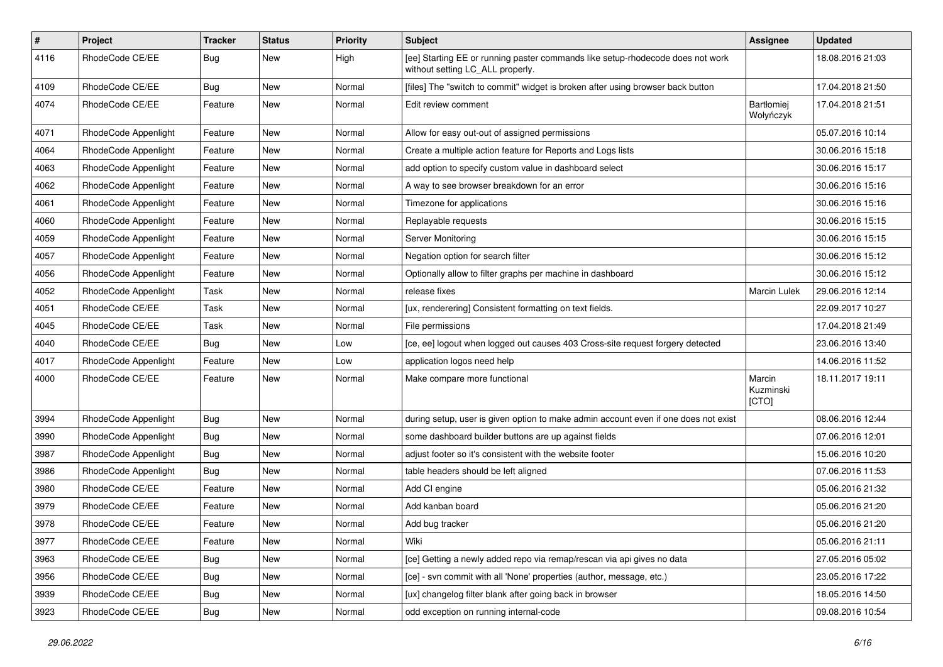| $\pmb{\#}$ | Project              | <b>Tracker</b> | <b>Status</b> | <b>Priority</b> | <b>Subject</b>                                                                                                     | Assignee                     | <b>Updated</b>   |
|------------|----------------------|----------------|---------------|-----------------|--------------------------------------------------------------------------------------------------------------------|------------------------------|------------------|
| 4116       | RhodeCode CE/EE      | <b>Bug</b>     | New           | High            | [ee] Starting EE or running paster commands like setup-rhodecode does not work<br>without setting LC_ALL properly. |                              | 18.08.2016 21:03 |
| 4109       | RhodeCode CE/EE      | <b>Bug</b>     | New           | Normal          | [files] The "switch to commit" widget is broken after using browser back button                                    |                              | 17.04.2018 21:50 |
| 4074       | RhodeCode CE/EE      | Feature        | New           | Normal          | Edit review comment                                                                                                | Bartłomiej<br>Wołyńczyk      | 17.04.2018 21:51 |
| 4071       | RhodeCode Appenlight | Feature        | New           | Normal          | Allow for easy out-out of assigned permissions                                                                     |                              | 05.07.2016 10:14 |
| 4064       | RhodeCode Appenlight | Feature        | New           | Normal          | Create a multiple action feature for Reports and Logs lists                                                        |                              | 30.06.2016 15:18 |
| 4063       | RhodeCode Appenlight | Feature        | <b>New</b>    | Normal          | add option to specify custom value in dashboard select                                                             |                              | 30.06.2016 15:17 |
| 4062       | RhodeCode Appenlight | Feature        | New           | Normal          | A way to see browser breakdown for an error                                                                        |                              | 30.06.2016 15:16 |
| 4061       | RhodeCode Appenlight | Feature        | <b>New</b>    | Normal          | Timezone for applications                                                                                          |                              | 30.06.2016 15:16 |
| 4060       | RhodeCode Appenlight | Feature        | New           | Normal          | Replayable requests                                                                                                |                              | 30.06.2016 15:15 |
| 4059       | RhodeCode Appenlight | Feature        | New           | Normal          | Server Monitoring                                                                                                  |                              | 30.06.2016 15:15 |
| 4057       | RhodeCode Appenlight | Feature        | <b>New</b>    | Normal          | Negation option for search filter                                                                                  |                              | 30.06.2016 15:12 |
| 4056       | RhodeCode Appenlight | Feature        | New           | Normal          | Optionally allow to filter graphs per machine in dashboard                                                         |                              | 30.06.2016 15:12 |
| 4052       | RhodeCode Appenlight | Task           | New           | Normal          | release fixes                                                                                                      | Marcin Lulek                 | 29.06.2016 12:14 |
| 4051       | RhodeCode CE/EE      | Task           | New           | Normal          | [ux, renderering] Consistent formatting on text fields.                                                            |                              | 22.09.2017 10:27 |
| 4045       | RhodeCode CE/EE      | Task           | New           | Normal          | File permissions                                                                                                   |                              | 17.04.2018 21:49 |
| 4040       | RhodeCode CE/EE      | Bug            | <b>New</b>    | Low             | [ce, ee] logout when logged out causes 403 Cross-site request forgery detected                                     |                              | 23.06.2016 13:40 |
| 4017       | RhodeCode Appenlight | Feature        | New           | Low             | application logos need help                                                                                        |                              | 14.06.2016 11:52 |
| 4000       | RhodeCode CE/EE      | Feature        | New           | Normal          | Make compare more functional                                                                                       | Marcin<br>Kuzminski<br>[CTO] | 18.11.2017 19:11 |
| 3994       | RhodeCode Appenlight | Bug            | <b>New</b>    | Normal          | during setup, user is given option to make admin account even if one does not exist                                |                              | 08.06.2016 12:44 |
| 3990       | RhodeCode Appenlight | Bug            | New           | Normal          | some dashboard builder buttons are up against fields                                                               |                              | 07.06.2016 12:01 |
| 3987       | RhodeCode Appenlight | Bug            | <b>New</b>    | Normal          | adjust footer so it's consistent with the website footer                                                           |                              | 15.06.2016 10:20 |
| 3986       | RhodeCode Appenlight | Bug            | <b>New</b>    | Normal          | table headers should be left aligned                                                                               |                              | 07.06.2016 11:53 |
| 3980       | RhodeCode CE/EE      | Feature        | <b>New</b>    | Normal          | Add CI engine                                                                                                      |                              | 05.06.2016 21:32 |
| 3979       | RhodeCode CE/EE      | Feature        | New           | Normal          | Add kanban board                                                                                                   |                              | 05.06.2016 21:20 |
| 3978       | RhodeCode CE/EE      | Feature        | New           | Normal          | Add bug tracker                                                                                                    |                              | 05.06.2016 21:20 |
| 3977       | RhodeCode CE/EE      | Feature        | New           | Normal          | Wiki                                                                                                               |                              | 05.06.2016 21:11 |
| 3963       | RhodeCode CE/EE      | <b>Bug</b>     | New           | Normal          | [ce] Getting a newly added repo via remap/rescan via api gives no data                                             |                              | 27.05.2016 05:02 |
| 3956       | RhodeCode CE/EE      | <b>Bug</b>     | New           | Normal          | [ce] - svn commit with all 'None' properties (author, message, etc.)                                               |                              | 23.05.2016 17:22 |
| 3939       | RhodeCode CE/EE      | <b>Bug</b>     | New           | Normal          | [ux] changelog filter blank after going back in browser                                                            |                              | 18.05.2016 14:50 |
| 3923       | RhodeCode CE/EE      | Bug            | New           | Normal          | odd exception on running internal-code                                                                             |                              | 09.08.2016 10:54 |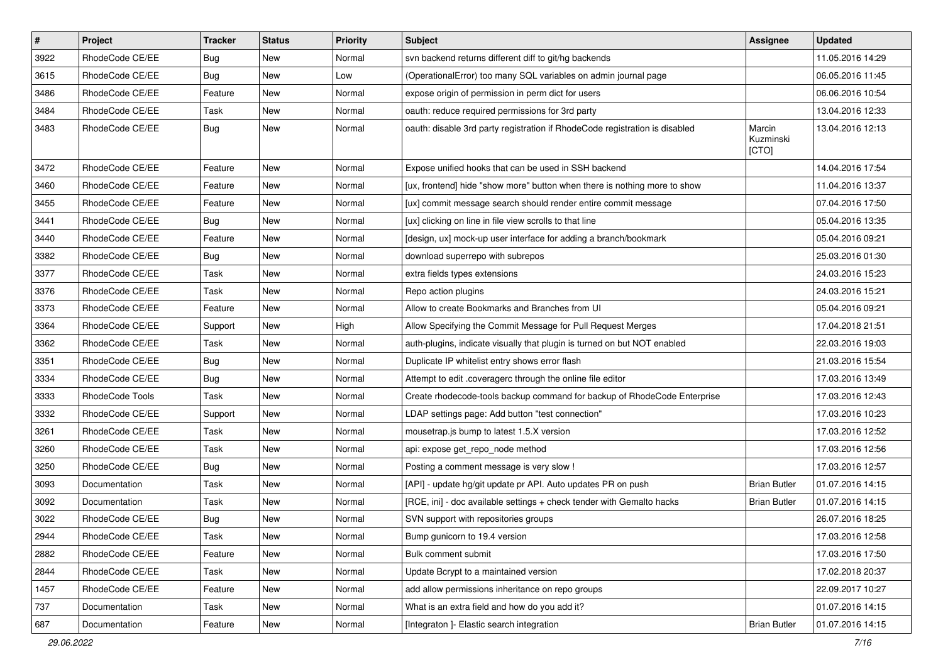| $\vert$ # | Project         | <b>Tracker</b> | <b>Status</b> | Priority | <b>Subject</b>                                                              | <b>Assignee</b>              | <b>Updated</b>   |
|-----------|-----------------|----------------|---------------|----------|-----------------------------------------------------------------------------|------------------------------|------------------|
| 3922      | RhodeCode CE/EE | Bug            | New           | Normal   | syn backend returns different diff to git/hg backends                       |                              | 11.05.2016 14:29 |
| 3615      | RhodeCode CE/EE | <b>Bug</b>     | <b>New</b>    | Low      | (OperationalError) too many SQL variables on admin journal page             |                              | 06.05.2016 11:45 |
| 3486      | RhodeCode CE/EE | Feature        | New           | Normal   | expose origin of permission in perm dict for users                          |                              | 06.06.2016 10:54 |
| 3484      | RhodeCode CE/EE | Task           | New           | Normal   | oauth: reduce required permissions for 3rd party                            |                              | 13.04.2016 12:33 |
| 3483      | RhodeCode CE/EE | Bug            | <b>New</b>    | Normal   | oauth: disable 3rd party registration if RhodeCode registration is disabled | Marcin<br>Kuzminski<br>[CTO] | 13.04.2016 12:13 |
| 3472      | RhodeCode CE/EE | Feature        | New           | Normal   | Expose unified hooks that can be used in SSH backend                        |                              | 14.04.2016 17:54 |
| 3460      | RhodeCode CE/EE | Feature        | New           | Normal   | [ux, frontend] hide "show more" button when there is nothing more to show   |                              | 11.04.2016 13:37 |
| 3455      | RhodeCode CE/EE | Feature        | New           | Normal   | [ux] commit message search should render entire commit message              |                              | 07.04.2016 17:50 |
| 3441      | RhodeCode CE/EE | Bug            | New           | Normal   | [ux] clicking on line in file view scrolls to that line                     |                              | 05.04.2016 13:35 |
| 3440      | RhodeCode CE/EE | Feature        | New           | Normal   | [design, ux] mock-up user interface for adding a branch/bookmark            |                              | 05.04.2016 09:21 |
| 3382      | RhodeCode CE/EE | Bug            | <b>New</b>    | Normal   | download superrepo with subrepos                                            |                              | 25.03.2016 01:30 |
| 3377      | RhodeCode CE/EE | Task           | New           | Normal   | extra fields types extensions                                               |                              | 24.03.2016 15:23 |
| 3376      | RhodeCode CE/EE | Task           | New           | Normal   | Repo action plugins                                                         |                              | 24.03.2016 15:21 |
| 3373      | RhodeCode CE/EE | Feature        | New           | Normal   | Allow to create Bookmarks and Branches from UI                              |                              | 05.04.2016 09:21 |
| 3364      | RhodeCode CE/EE | Support        | New           | High     | Allow Specifying the Commit Message for Pull Request Merges                 |                              | 17.04.2018 21:51 |
| 3362      | RhodeCode CE/EE | Task           | <b>New</b>    | Normal   | auth-plugins, indicate visually that plugin is turned on but NOT enabled    |                              | 22.03.2016 19:03 |
| 3351      | RhodeCode CE/EE | Bug            | New           | Normal   | Duplicate IP whitelist entry shows error flash                              |                              | 21.03.2016 15:54 |
| 3334      | RhodeCode CE/EE | <b>Bug</b>     | New           | Normal   | Attempt to edit .coveragerc through the online file editor                  |                              | 17.03.2016 13:49 |
| 3333      | RhodeCode Tools | Task           | <b>New</b>    | Normal   | Create rhodecode-tools backup command for backup of RhodeCode Enterprise    |                              | 17.03.2016 12:43 |
| 3332      | RhodeCode CE/EE | Support        | New           | Normal   | LDAP settings page: Add button "test connection"                            |                              | 17.03.2016 10:23 |
| 3261      | RhodeCode CE/EE | Task           | New           | Normal   | mousetrap.js bump to latest 1.5.X version                                   |                              | 17.03.2016 12:52 |
| 3260      | RhodeCode CE/EE | Task           | New           | Normal   | api: expose get_repo_node method                                            |                              | 17.03.2016 12:56 |
| 3250      | RhodeCode CE/EE | Bug            | New           | Normal   | Posting a comment message is very slow !                                    |                              | 17.03.2016 12:57 |
| 3093      | Documentation   | Task           | <b>New</b>    | Normal   | [API] - update hg/git update pr API. Auto updates PR on push                | <b>Brian Butler</b>          | 01.07.2016 14:15 |
| 3092      | Documentation   | Task           | New           | Normal   | [RCE, ini] - doc available settings + check tender with Gemalto hacks       | <b>Brian Butler</b>          | 01.07.2016 14:15 |
| 3022      | RhodeCode CE/EE | Bug            | New           | Normal   | SVN support with repositories groups                                        |                              | 26.07.2016 18:25 |
| 2944      | RhodeCode CE/EE | Task           | New           | Normal   | Bump gunicorn to 19.4 version                                               |                              | 17.03.2016 12:58 |
| 2882      | RhodeCode CE/EE | Feature        | New           | Normal   | Bulk comment submit                                                         |                              | 17.03.2016 17:50 |
| 2844      | RhodeCode CE/EE | Task           | New           | Normal   | Update Bcrypt to a maintained version                                       |                              | 17.02.2018 20:37 |
| 1457      | RhodeCode CE/EE | Feature        | New           | Normal   | add allow permissions inheritance on repo groups                            |                              | 22.09.2017 10:27 |
| 737       | Documentation   | Task           | New           | Normal   | What is an extra field and how do you add it?                               |                              | 01.07.2016 14:15 |
| 687       | Documentation   | Feature        | New           | Normal   | [Integraton ]- Elastic search integration                                   | <b>Brian Butler</b>          | 01.07.2016 14:15 |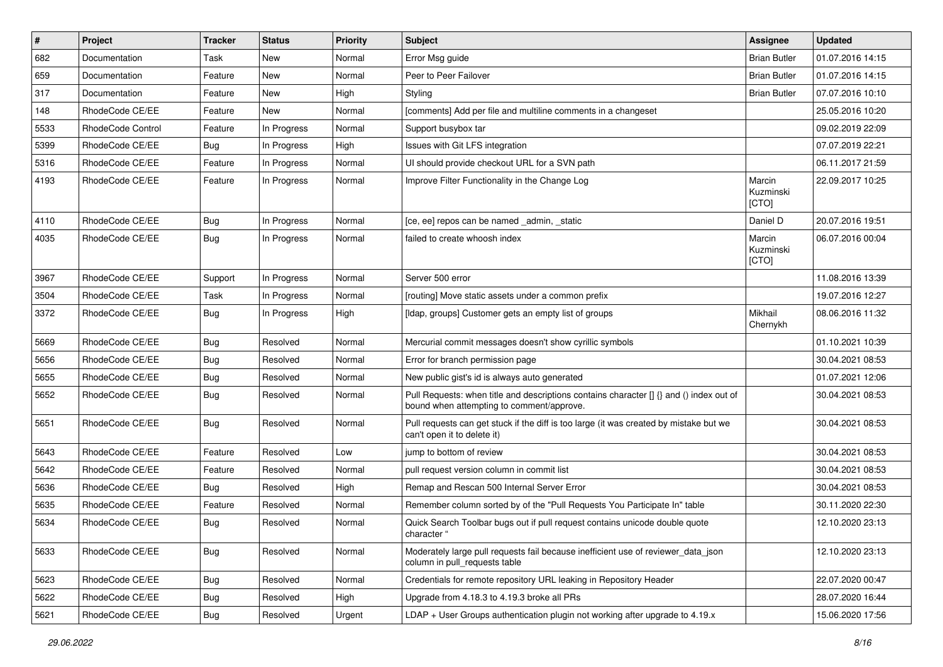| $\pmb{\#}$ | Project                  | <b>Tracker</b> | <b>Status</b> | <b>Priority</b> | Subject                                                                                                                              | <b>Assignee</b>              | <b>Updated</b>   |
|------------|--------------------------|----------------|---------------|-----------------|--------------------------------------------------------------------------------------------------------------------------------------|------------------------------|------------------|
| 682        | Documentation            | Task           | New           | Normal          | Error Msg guide                                                                                                                      | <b>Brian Butler</b>          | 01.07.2016 14:15 |
| 659        | Documentation            | Feature        | <b>New</b>    | Normal          | Peer to Peer Failover                                                                                                                | <b>Brian Butler</b>          | 01.07.2016 14:15 |
| 317        | Documentation            | Feature        | New           | High            | Styling                                                                                                                              | <b>Brian Butler</b>          | 07.07.2016 10:10 |
| 148        | RhodeCode CE/EE          | Feature        | New           | Normal          | [comments] Add per file and multiline comments in a changeset                                                                        |                              | 25.05.2016 10:20 |
| 5533       | <b>RhodeCode Control</b> | Feature        | In Progress   | Normal          | Support busybox tar                                                                                                                  |                              | 09.02.2019 22:09 |
| 5399       | RhodeCode CE/EE          | Bug            | In Progress   | High            | Issues with Git LFS integration                                                                                                      |                              | 07.07.2019 22:21 |
| 5316       | RhodeCode CE/EE          | Feature        | In Progress   | Normal          | UI should provide checkout URL for a SVN path                                                                                        |                              | 06.11.2017 21:59 |
| 4193       | RhodeCode CE/EE          | Feature        | In Progress   | Normal          | Improve Filter Functionality in the Change Log                                                                                       | Marcin<br>Kuzminski<br>[CTO] | 22.09.2017 10:25 |
| 4110       | RhodeCode CE/EE          | Bug            | In Progress   | Normal          | [ce, ee] repos can be named _admin, _static                                                                                          | Daniel D                     | 20.07.2016 19:51 |
| 4035       | RhodeCode CE/EE          | Bug            | In Progress   | Normal          | failed to create whoosh index                                                                                                        | Marcin<br>Kuzminski<br>[CTO] | 06.07.2016 00:04 |
| 3967       | RhodeCode CE/EE          | Support        | In Progress   | Normal          | Server 500 error                                                                                                                     |                              | 11.08.2016 13:39 |
| 3504       | RhodeCode CE/EE          | Task           | In Progress   | Normal          | [routing] Move static assets under a common prefix                                                                                   |                              | 19.07.2016 12:27 |
| 3372       | RhodeCode CE/EE          | Bug            | In Progress   | High            | [Idap, groups] Customer gets an empty list of groups                                                                                 | Mikhail<br>Chernykh          | 08.06.2016 11:32 |
| 5669       | RhodeCode CE/EE          | Bug            | Resolved      | Normal          | Mercurial commit messages doesn't show cyrillic symbols                                                                              |                              | 01.10.2021 10:39 |
| 5656       | RhodeCode CE/EE          | Bug            | Resolved      | Normal          | Error for branch permission page                                                                                                     |                              | 30.04.2021 08:53 |
| 5655       | RhodeCode CE/EE          | Bug            | Resolved      | Normal          | New public gist's id is always auto generated                                                                                        |                              | 01.07.2021 12:06 |
| 5652       | RhodeCode CE/EE          | Bug            | Resolved      | Normal          | Pull Requests: when title and descriptions contains character [] {} and () index out of<br>bound when attempting to comment/approve. |                              | 30.04.2021 08:53 |
| 5651       | RhodeCode CE/EE          | Bug            | Resolved      | Normal          | Pull requests can get stuck if the diff is too large (it was created by mistake but we<br>can't open it to delete it)                |                              | 30.04.2021 08:53 |
| 5643       | RhodeCode CE/EE          | Feature        | Resolved      | Low             | jump to bottom of review                                                                                                             |                              | 30.04.2021 08:53 |
| 5642       | RhodeCode CE/EE          | Feature        | Resolved      | Normal          | pull request version column in commit list                                                                                           |                              | 30.04.2021 08:53 |
| 5636       | RhodeCode CE/EE          | Bug            | Resolved      | High            | Remap and Rescan 500 Internal Server Error                                                                                           |                              | 30.04.2021 08:53 |
| 5635       | RhodeCode CE/EE          | Feature        | Resolved      | Normal          | Remember column sorted by of the "Pull Requests You Participate In" table                                                            |                              | 30.11.2020 22:30 |
| 5634       | RhodeCode CE/EE          | Bug            | Resolved      | Normal          | Quick Search Toolbar bugs out if pull request contains unicode double quote<br>character "                                           |                              | 12.10.2020 23:13 |
| 5633       | RhodeCode CE/EE          | <b>Bug</b>     | Resolved      | Normal          | Moderately large pull requests fail because inefficient use of reviewer_data_json<br>column in pull_requests table                   |                              | 12.10.2020 23:13 |
| 5623       | RhodeCode CE/EE          | Bug            | Resolved      | Normal          | Credentials for remote repository URL leaking in Repository Header                                                                   |                              | 22.07.2020 00:47 |
| 5622       | RhodeCode CE/EE          | <b>Bug</b>     | Resolved      | High            | Upgrade from 4.18.3 to 4.19.3 broke all PRs                                                                                          |                              | 28.07.2020 16:44 |
| 5621       | RhodeCode CE/EE          | Bug            | Resolved      | Urgent          | LDAP + User Groups authentication plugin not working after upgrade to 4.19.x                                                         |                              | 15.06.2020 17:56 |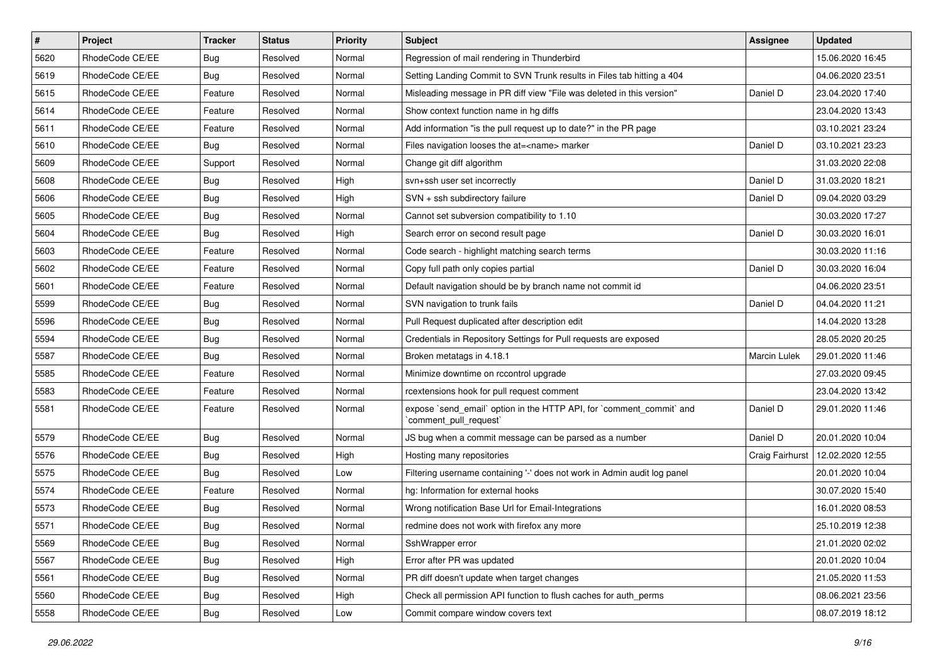| $\pmb{\#}$ | Project         | <b>Tracker</b> | <b>Status</b> | <b>Priority</b> | Subject                                                                                        | <b>Assignee</b> | <b>Updated</b>   |
|------------|-----------------|----------------|---------------|-----------------|------------------------------------------------------------------------------------------------|-----------------|------------------|
| 5620       | RhodeCode CE/EE | Bug            | Resolved      | Normal          | Regression of mail rendering in Thunderbird                                                    |                 | 15.06.2020 16:45 |
| 5619       | RhodeCode CE/EE | Bug            | Resolved      | Normal          | Setting Landing Commit to SVN Trunk results in Files tab hitting a 404                         |                 | 04.06.2020 23:51 |
| 5615       | RhodeCode CE/EE | Feature        | Resolved      | Normal          | Misleading message in PR diff view "File was deleted in this version"                          | Daniel D        | 23.04.2020 17:40 |
| 5614       | RhodeCode CE/EE | Feature        | Resolved      | Normal          | Show context function name in hg diffs                                                         |                 | 23.04.2020 13:43 |
| 5611       | RhodeCode CE/EE | Feature        | Resolved      | Normal          | Add information "is the pull request up to date?" in the PR page                               |                 | 03.10.2021 23:24 |
| 5610       | RhodeCode CE/EE | Bug            | Resolved      | Normal          | Files navigation looses the at= <name> marker</name>                                           | Daniel D        | 03.10.2021 23:23 |
| 5609       | RhodeCode CE/EE | Support        | Resolved      | Normal          | Change git diff algorithm                                                                      |                 | 31.03.2020 22:08 |
| 5608       | RhodeCode CE/EE | Bug            | Resolved      | High            | svn+ssh user set incorrectly                                                                   | Daniel D        | 31.03.2020 18:21 |
| 5606       | RhodeCode CE/EE | Bug            | Resolved      | High            | SVN + ssh subdirectory failure                                                                 | Daniel D        | 09.04.2020 03:29 |
| 5605       | RhodeCode CE/EE | Bug            | Resolved      | Normal          | Cannot set subversion compatibility to 1.10                                                    |                 | 30.03.2020 17:27 |
| 5604       | RhodeCode CE/EE | Bug            | Resolved      | High            | Search error on second result page                                                             | Daniel D        | 30.03.2020 16:01 |
| 5603       | RhodeCode CE/EE | Feature        | Resolved      | Normal          | Code search - highlight matching search terms                                                  |                 | 30.03.2020 11:16 |
| 5602       | RhodeCode CE/EE | Feature        | Resolved      | Normal          | Copy full path only copies partial                                                             | Daniel D        | 30.03.2020 16:04 |
| 5601       | RhodeCode CE/EE | Feature        | Resolved      | Normal          | Default navigation should be by branch name not commit id                                      |                 | 04.06.2020 23:51 |
| 5599       | RhodeCode CE/EE | <b>Bug</b>     | Resolved      | Normal          | SVN navigation to trunk fails                                                                  | Daniel D        | 04.04.2020 11:21 |
| 5596       | RhodeCode CE/EE | Bug            | Resolved      | Normal          | Pull Request duplicated after description edit                                                 |                 | 14.04.2020 13:28 |
| 5594       | RhodeCode CE/EE | <b>Bug</b>     | Resolved      | Normal          | Credentials in Repository Settings for Pull requests are exposed                               |                 | 28.05.2020 20:25 |
| 5587       | RhodeCode CE/EE | Bug            | Resolved      | Normal          | Broken metatags in 4.18.1                                                                      | Marcin Lulek    | 29.01.2020 11:46 |
| 5585       | RhodeCode CE/EE | Feature        | Resolved      | Normal          | Minimize downtime on rccontrol upgrade                                                         |                 | 27.03.2020 09:45 |
| 5583       | RhodeCode CE/EE | Feature        | Resolved      | Normal          | rcextensions hook for pull request comment                                                     |                 | 23.04.2020 13:42 |
| 5581       | RhodeCode CE/EE | Feature        | Resolved      | Normal          | expose `send_email` option in the HTTP API, for `comment_commit` and<br>`comment_pull_request` | Daniel D        | 29.01.2020 11:46 |
| 5579       | RhodeCode CE/EE | Bug            | Resolved      | Normal          | JS bug when a commit message can be parsed as a number                                         | Daniel D        | 20.01.2020 10:04 |
| 5576       | RhodeCode CE/EE | Bug            | Resolved      | High            | Hosting many repositories                                                                      | Craig Fairhurst | 12.02.2020 12:55 |
| 5575       | RhodeCode CE/EE | Bug            | Resolved      | Low             | Filtering username containing '-' does not work in Admin audit log panel                       |                 | 20.01.2020 10:04 |
| 5574       | RhodeCode CE/EE | Feature        | Resolved      | Normal          | hg: Information for external hooks                                                             |                 | 30.07.2020 15:40 |
| 5573       | RhodeCode CE/EE | Bug            | Resolved      | Normal          | Wrong notification Base Url for Email-Integrations                                             |                 | 16.01.2020 08:53 |
| 5571       | RhodeCode CE/EE | <b>Bug</b>     | Resolved      | Normal          | redmine does not work with firefox any more                                                    |                 | 25.10.2019 12:38 |
| 5569       | RhodeCode CE/EE | <b>Bug</b>     | Resolved      | Normal          | SshWrapper error                                                                               |                 | 21.01.2020 02:02 |
| 5567       | RhodeCode CE/EE | Bug            | Resolved      | High            | Error after PR was updated                                                                     |                 | 20.01.2020 10:04 |
| 5561       | RhodeCode CE/EE | <b>Bug</b>     | Resolved      | Normal          | PR diff doesn't update when target changes                                                     |                 | 21.05.2020 11:53 |
| 5560       | RhodeCode CE/EE | <b>Bug</b>     | Resolved      | High            | Check all permission API function to flush caches for auth_perms                               |                 | 08.06.2021 23:56 |
| 5558       | RhodeCode CE/EE | Bug            | Resolved      | Low             | Commit compare window covers text                                                              |                 | 08.07.2019 18:12 |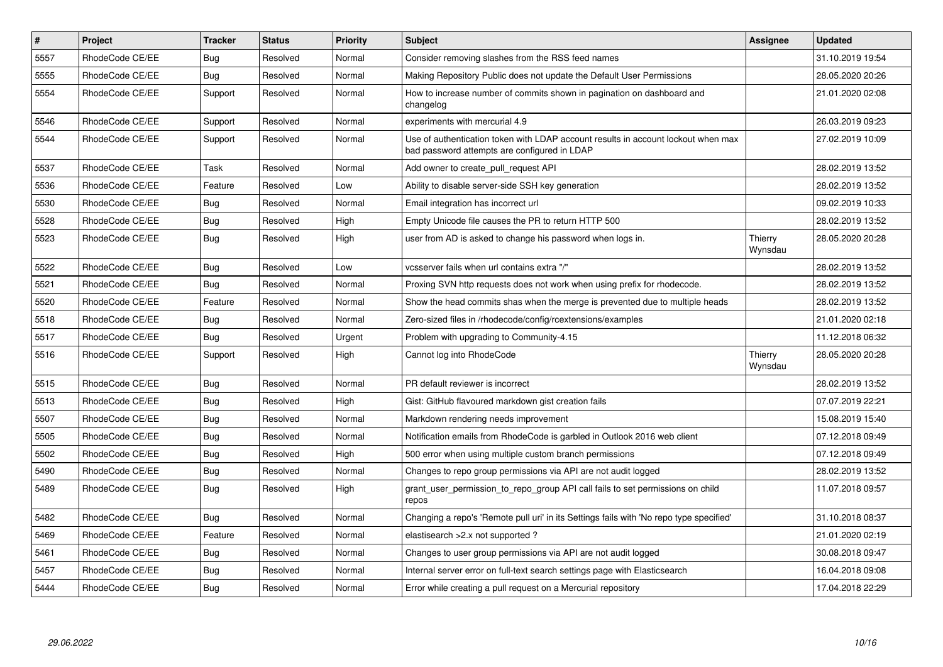| $\pmb{\#}$ | Project         | <b>Tracker</b> | <b>Status</b> | <b>Priority</b> | <b>Subject</b>                                                                                                                    | <b>Assignee</b>    | <b>Updated</b>   |
|------------|-----------------|----------------|---------------|-----------------|-----------------------------------------------------------------------------------------------------------------------------------|--------------------|------------------|
| 5557       | RhodeCode CE/EE | Bug            | Resolved      | Normal          | Consider removing slashes from the RSS feed names                                                                                 |                    | 31.10.2019 19:54 |
| 5555       | RhodeCode CE/EE | Bug            | Resolved      | Normal          | Making Repository Public does not update the Default User Permissions                                                             |                    | 28.05.2020 20:26 |
| 5554       | RhodeCode CE/EE | Support        | Resolved      | Normal          | How to increase number of commits shown in pagination on dashboard and<br>changelog                                               |                    | 21.01.2020 02:08 |
| 5546       | RhodeCode CE/EE | Support        | Resolved      | Normal          | experiments with mercurial 4.9                                                                                                    |                    | 26.03.2019 09:23 |
| 5544       | RhodeCode CE/EE | Support        | Resolved      | Normal          | Use of authentication token with LDAP account results in account lockout when max<br>bad password attempts are configured in LDAP |                    | 27.02.2019 10:09 |
| 5537       | RhodeCode CE/EE | Task           | Resolved      | Normal          | Add owner to create pull request API                                                                                              |                    | 28.02.2019 13:52 |
| 5536       | RhodeCode CE/EE | Feature        | Resolved      | Low             | Ability to disable server-side SSH key generation                                                                                 |                    | 28.02.2019 13:52 |
| 5530       | RhodeCode CE/EE | Bug            | Resolved      | Normal          | Email integration has incorrect url                                                                                               |                    | 09.02.2019 10:33 |
| 5528       | RhodeCode CE/EE | Bug            | Resolved      | High            | Empty Unicode file causes the PR to return HTTP 500                                                                               |                    | 28.02.2019 13:52 |
| 5523       | RhodeCode CE/EE | Bug            | Resolved      | High            | user from AD is asked to change his password when logs in.                                                                        | Thierry<br>Wynsdau | 28.05.2020 20:28 |
| 5522       | RhodeCode CE/EE | Bug            | Resolved      | Low             | vcsserver fails when url contains extra "/"                                                                                       |                    | 28.02.2019 13:52 |
| 5521       | RhodeCode CE/EE | Bug            | Resolved      | Normal          | Proxing SVN http requests does not work when using prefix for rhodecode.                                                          |                    | 28.02.2019 13:52 |
| 5520       | RhodeCode CE/EE | Feature        | Resolved      | Normal          | Show the head commits shas when the merge is prevented due to multiple heads                                                      |                    | 28.02.2019 13:52 |
| 5518       | RhodeCode CE/EE | Bug            | Resolved      | Normal          | Zero-sized files in /rhodecode/config/rcextensions/examples                                                                       |                    | 21.01.2020 02:18 |
| 5517       | RhodeCode CE/EE | Bug            | Resolved      | Urgent          | Problem with upgrading to Community-4.15                                                                                          |                    | 11.12.2018 06:32 |
| 5516       | RhodeCode CE/EE | Support        | Resolved      | High            | Cannot log into RhodeCode                                                                                                         | Thierry<br>Wynsdau | 28.05.2020 20:28 |
| 5515       | RhodeCode CE/EE | <b>Bug</b>     | Resolved      | Normal          | PR default reviewer is incorrect                                                                                                  |                    | 28.02.2019 13:52 |
| 5513       | RhodeCode CE/EE | Bug            | Resolved      | High            | Gist: GitHub flavoured markdown gist creation fails                                                                               |                    | 07.07.2019 22:21 |
| 5507       | RhodeCode CE/EE | Bug            | Resolved      | Normal          | Markdown rendering needs improvement                                                                                              |                    | 15.08.2019 15:40 |
| 5505       | RhodeCode CE/EE | Bug            | Resolved      | Normal          | Notification emails from RhodeCode is garbled in Outlook 2016 web client                                                          |                    | 07.12.2018 09:49 |
| 5502       | RhodeCode CE/EE | <b>Bug</b>     | Resolved      | High            | 500 error when using multiple custom branch permissions                                                                           |                    | 07.12.2018 09:49 |
| 5490       | RhodeCode CE/EE | Bug            | Resolved      | Normal          | Changes to repo group permissions via API are not audit logged                                                                    |                    | 28.02.2019 13:52 |
| 5489       | RhodeCode CE/EE | Bug            | Resolved      | High            | grant_user_permission_to_repo_group API call fails to set permissions on child<br>repos                                           |                    | 11.07.2018 09:57 |
| 5482       | RhodeCode CE/EE | Bug            | Resolved      | Normal          | Changing a repo's 'Remote pull uri' in its Settings fails with 'No repo type specified'                                           |                    | 31.10.2018 08:37 |
| 5469       | RhodeCode CE/EE | Feature        | Resolved      | Normal          | elastisearch > 2.x not supported?                                                                                                 |                    | 21.01.2020 02:19 |
| 5461       | RhodeCode CE/EE | Bug            | Resolved      | Normal          | Changes to user group permissions via API are not audit logged                                                                    |                    | 30.08.2018 09:47 |
| 5457       | RhodeCode CE/EE | Bug            | Resolved      | Normal          | Internal server error on full-text search settings page with Elasticsearch                                                        |                    | 16.04.2018 09:08 |
| 5444       | RhodeCode CE/EE | Bug            | Resolved      | Normal          | Error while creating a pull request on a Mercurial repository                                                                     |                    | 17.04.2018 22:29 |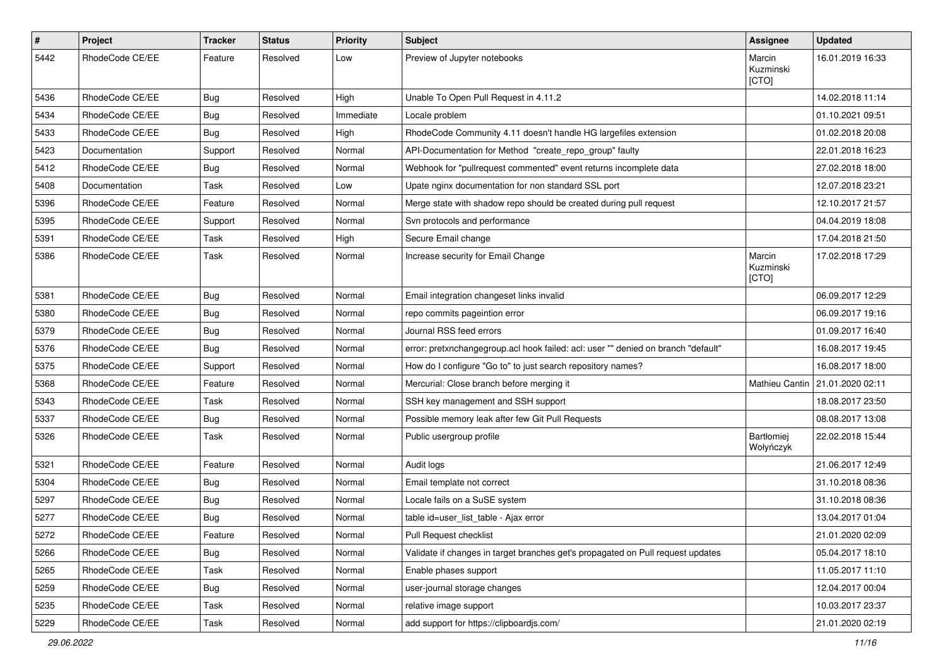| $\#$ | <b>Project</b>  | Tracker | <b>Status</b> | <b>Priority</b> | <b>Subject</b>                                                                    | Assignee                     | <b>Updated</b>   |
|------|-----------------|---------|---------------|-----------------|-----------------------------------------------------------------------------------|------------------------------|------------------|
| 5442 | RhodeCode CE/EE | Feature | Resolved      | Low             | Preview of Jupyter notebooks                                                      | Marcin<br>Kuzminski<br>[CTO] | 16.01.2019 16:33 |
| 5436 | RhodeCode CE/EE | Bug     | Resolved      | High            | Unable To Open Pull Request in 4.11.2                                             |                              | 14.02.2018 11:14 |
| 5434 | RhodeCode CE/EE | Bug     | Resolved      | Immediate       | Locale problem                                                                    |                              | 01.10.2021 09:51 |
| 5433 | RhodeCode CE/EE | Bug     | Resolved      | High            | RhodeCode Community 4.11 doesn't handle HG largefiles extension                   |                              | 01.02.2018 20:08 |
| 5423 | Documentation   | Support | Resolved      | Normal          | API-Documentation for Method "create_repo_group" faulty                           |                              | 22.01.2018 16:23 |
| 5412 | RhodeCode CE/EE | Bug     | Resolved      | Normal          | Webhook for "pullrequest commented" event returns incomplete data                 |                              | 27.02.2018 18:00 |
| 5408 | Documentation   | Task    | Resolved      | Low             | Upate nginx documentation for non standard SSL port                               |                              | 12.07.2018 23:21 |
| 5396 | RhodeCode CE/EE | Feature | Resolved      | Normal          | Merge state with shadow repo should be created during pull request                |                              | 12.10.2017 21:57 |
| 5395 | RhodeCode CE/EE | Support | Resolved      | Normal          | Svn protocols and performance                                                     |                              | 04.04.2019 18:08 |
| 5391 | RhodeCode CE/EE | Task    | Resolved      | High            | Secure Email change                                                               |                              | 17.04.2018 21:50 |
| 5386 | RhodeCode CE/EE | Task    | Resolved      | Normal          | Increase security for Email Change                                                | Marcin<br>Kuzminski<br>[CTO] | 17.02.2018 17:29 |
| 5381 | RhodeCode CE/EE | Bug     | Resolved      | Normal          | Email integration changeset links invalid                                         |                              | 06.09.2017 12:29 |
| 5380 | RhodeCode CE/EE | Bug     | Resolved      | Normal          | repo commits pageintion error                                                     |                              | 06.09.2017 19:16 |
| 5379 | RhodeCode CE/EE | Bug     | Resolved      | Normal          | Journal RSS feed errors                                                           |                              | 01.09.2017 16:40 |
| 5376 | RhodeCode CE/EE | Bug     | Resolved      | Normal          | error: pretxnchangegroup.acl hook failed: acl: user "" denied on branch "default" |                              | 16.08.2017 19:45 |
| 5375 | RhodeCode CE/EE | Support | Resolved      | Normal          | How do I configure "Go to" to just search repository names?                       |                              | 16.08.2017 18:00 |
| 5368 | RhodeCode CE/EE | Feature | Resolved      | Normal          | Mercurial: Close branch before merging it                                         | Mathieu Cantin               | 21.01.2020 02:11 |
| 5343 | RhodeCode CE/EE | Task    | Resolved      | Normal          | SSH key management and SSH support                                                |                              | 18.08.2017 23:50 |
| 5337 | RhodeCode CE/EE | Bug     | Resolved      | Normal          | Possible memory leak after few Git Pull Requests                                  |                              | 08.08.2017 13:08 |
| 5326 | RhodeCode CE/EE | Task    | Resolved      | Normal          | Public usergroup profile                                                          | Bartłomiej<br>Wołyńczyk      | 22.02.2018 15:44 |
| 5321 | RhodeCode CE/EE | Feature | Resolved      | Normal          | Audit logs                                                                        |                              | 21.06.2017 12:49 |
| 5304 | RhodeCode CE/EE | Bug     | Resolved      | Normal          | Email template not correct                                                        |                              | 31.10.2018 08:36 |
| 5297 | RhodeCode CE/EE | Bug     | Resolved      | Normal          | Locale fails on a SuSE system                                                     |                              | 31.10.2018 08:36 |
| 5277 | RhodeCode CE/EE | Bug     | Resolved      | Normal          | table id=user list table - Ajax error                                             |                              | 13.04.2017 01:04 |
| 5272 | RhodeCode CE/EE | Feature | Resolved      | Normal          | Pull Request checklist                                                            |                              | 21.01.2020 02:09 |
| 5266 | RhodeCode CE/EE | Bug     | Resolved      | Normal          | Validate if changes in target branches get's propagated on Pull request updates   |                              | 05.04.2017 18:10 |
| 5265 | RhodeCode CE/EE | Task    | Resolved      | Normal          | Enable phases support                                                             |                              | 11.05.2017 11:10 |
| 5259 | RhodeCode CE/EE | Bug     | Resolved      | Normal          | user-journal storage changes                                                      |                              | 12.04.2017 00:04 |
| 5235 | RhodeCode CE/EE | Task    | Resolved      | Normal          | relative image support                                                            |                              | 10.03.2017 23:37 |
| 5229 | RhodeCode CE/EE | Task    | Resolved      | Normal          | add support for https://clipboardjs.com/                                          |                              | 21.01.2020 02:19 |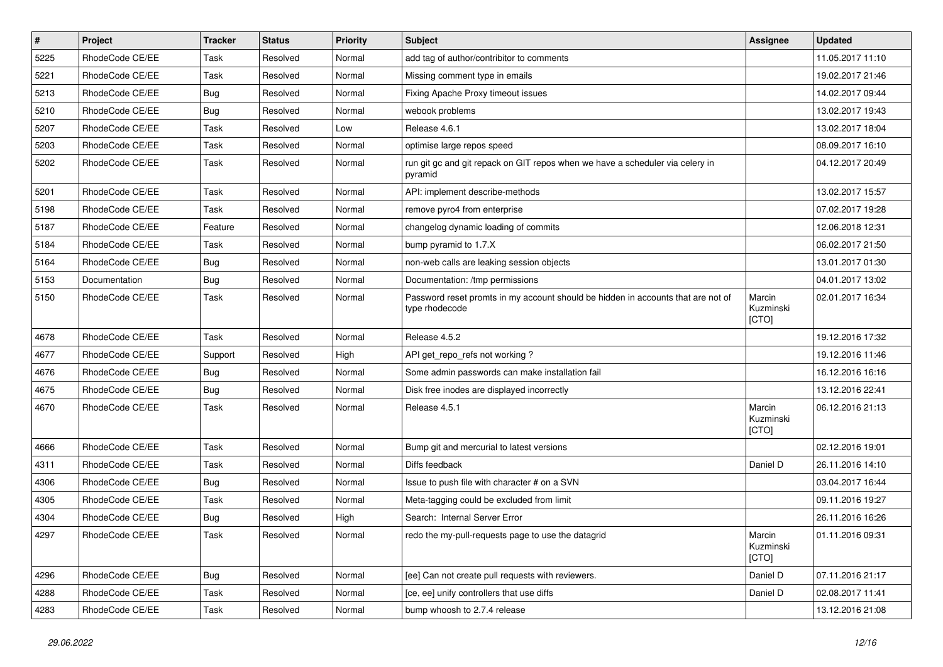| $\pmb{\#}$ | Project         | <b>Tracker</b> | <b>Status</b> | <b>Priority</b> | Subject                                                                                            | <b>Assignee</b>              | <b>Updated</b>   |
|------------|-----------------|----------------|---------------|-----------------|----------------------------------------------------------------------------------------------------|------------------------------|------------------|
| 5225       | RhodeCode CE/EE | Task           | Resolved      | Normal          | add tag of author/contribitor to comments                                                          |                              | 11.05.2017 11:10 |
| 5221       | RhodeCode CE/EE | Task           | Resolved      | Normal          | Missing comment type in emails                                                                     |                              | 19.02.2017 21:46 |
| 5213       | RhodeCode CE/EE | Bug            | Resolved      | Normal          | Fixing Apache Proxy timeout issues                                                                 |                              | 14.02.2017 09:44 |
| 5210       | RhodeCode CE/EE | Bug            | Resolved      | Normal          | webook problems                                                                                    |                              | 13.02.2017 19:43 |
| 5207       | RhodeCode CE/EE | <b>Task</b>    | Resolved      | Low             | Release 4.6.1                                                                                      |                              | 13.02.2017 18:04 |
| 5203       | RhodeCode CE/EE | Task           | Resolved      | Normal          | optimise large repos speed                                                                         |                              | 08.09.2017 16:10 |
| 5202       | RhodeCode CE/EE | Task           | Resolved      | Normal          | run git gc and git repack on GIT repos when we have a scheduler via celery in<br>pyramid           |                              | 04.12.2017 20:49 |
| 5201       | RhodeCode CE/EE | Task           | Resolved      | Normal          | API: implement describe-methods                                                                    |                              | 13.02.2017 15:57 |
| 5198       | RhodeCode CE/EE | Task           | Resolved      | Normal          | remove pyro4 from enterprise                                                                       |                              | 07.02.2017 19:28 |
| 5187       | RhodeCode CE/EE | Feature        | Resolved      | Normal          | changelog dynamic loading of commits                                                               |                              | 12.06.2018 12:31 |
| 5184       | RhodeCode CE/EE | Task           | Resolved      | Normal          | bump pyramid to 1.7.X                                                                              |                              | 06.02.2017 21:50 |
| 5164       | RhodeCode CE/EE | Bug            | Resolved      | Normal          | non-web calls are leaking session objects                                                          |                              | 13.01.2017 01:30 |
| 5153       | Documentation   | Bug            | Resolved      | Normal          | Documentation: /tmp permissions                                                                    |                              | 04.01.2017 13:02 |
| 5150       | RhodeCode CE/EE | Task           | Resolved      | Normal          | Password reset promts in my account should be hidden in accounts that are not of<br>type rhodecode | Marcin<br>Kuzminski<br>[CTO] | 02.01.2017 16:34 |
| 4678       | RhodeCode CE/EE | Task           | Resolved      | Normal          | Release 4.5.2                                                                                      |                              | 19.12.2016 17:32 |
| 4677       | RhodeCode CE/EE | Support        | Resolved      | High            | API get repo refs not working?                                                                     |                              | 19.12.2016 11:46 |
| 4676       | RhodeCode CE/EE | Bug            | Resolved      | Normal          | Some admin passwords can make installation fail                                                    |                              | 16.12.2016 16:16 |
| 4675       | RhodeCode CE/EE | Bug            | Resolved      | Normal          | Disk free inodes are displayed incorrectly                                                         |                              | 13.12.2016 22:41 |
| 4670       | RhodeCode CE/EE | Task           | Resolved      | Normal          | Release 4.5.1                                                                                      | Marcin<br>Kuzminski<br>[CTO] | 06.12.2016 21:13 |
| 4666       | RhodeCode CE/EE | Task           | Resolved      | Normal          | Bump git and mercurial to latest versions                                                          |                              | 02.12.2016 19:01 |
| 4311       | RhodeCode CE/EE | <b>Task</b>    | Resolved      | Normal          | Diffs feedback                                                                                     | Daniel D                     | 26.11.2016 14:10 |
| 4306       | RhodeCode CE/EE | Bug            | Resolved      | Normal          | Issue to push file with character # on a SVN                                                       |                              | 03.04.2017 16:44 |
| 4305       | RhodeCode CE/EE | Task           | Resolved      | Normal          | Meta-tagging could be excluded from limit                                                          |                              | 09.11.2016 19:27 |
| 4304       | RhodeCode CE/EE | Bug            | Resolved      | High            | Search: Internal Server Error                                                                      |                              | 26.11.2016 16:26 |
| 4297       | RhodeCode CE/EE | Task           | Resolved      | Normal          | redo the my-pull-requests page to use the datagrid                                                 | Marcin<br>Kuzminski<br>[CTO] | 01.11.2016 09:31 |
| 4296       | RhodeCode CE/EE | <b>Bug</b>     | Resolved      | Normal          | [ee] Can not create pull requests with reviewers.                                                  | Daniel D                     | 07.11.2016 21:17 |
| 4288       | RhodeCode CE/EE | Task           | Resolved      | Normal          | [ce, ee] unify controllers that use diffs                                                          | Daniel D                     | 02.08.2017 11:41 |
| 4283       | RhodeCode CE/EE | Task           | Resolved      | Normal          | bump whoosh to 2.7.4 release                                                                       |                              | 13.12.2016 21:08 |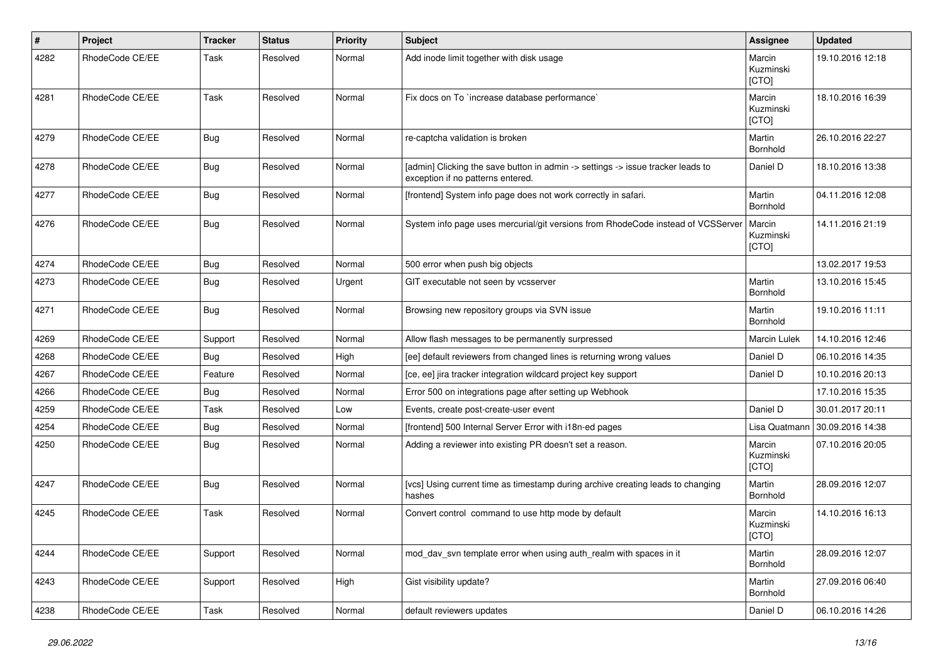| $\vert$ # | Project         | <b>Tracker</b> | <b>Status</b> | <b>Priority</b> | <b>Subject</b>                                                                                                       | Assignee                     | <b>Updated</b>   |
|-----------|-----------------|----------------|---------------|-----------------|----------------------------------------------------------------------------------------------------------------------|------------------------------|------------------|
| 4282      | RhodeCode CE/EE | Task           | Resolved      | Normal          | Add inode limit together with disk usage                                                                             | Marcin<br>Kuzminski<br>[CTO] | 19.10.2016 12:18 |
| 4281      | RhodeCode CE/EE | Task           | Resolved      | Normal          | Fix docs on To `increase database performance`                                                                       | Marcin<br>Kuzminski<br>[CTO] | 18.10.2016 16:39 |
| 4279      | RhodeCode CE/EE | Bug            | Resolved      | Normal          | re-captcha validation is broken                                                                                      | Martin<br>Bornhold           | 26.10.2016 22:27 |
| 4278      | RhodeCode CE/EE | Bug            | Resolved      | Normal          | [admin] Clicking the save button in admin -> settings -> issue tracker leads to<br>exception if no patterns entered. | Daniel D                     | 18.10.2016 13:38 |
| 4277      | RhodeCode CE/EE | Bug            | Resolved      | Normal          | [frontend] System info page does not work correctly in safari.                                                       | Martin<br>Bornhold           | 04.11.2016 12:08 |
| 4276      | RhodeCode CE/EE | <b>Bug</b>     | Resolved      | Normal          | System info page uses mercurial/git versions from RhodeCode instead of VCSServer                                     | Marcin<br>Kuzminski<br>[CTO] | 14.11.2016 21:19 |
| 4274      | RhodeCode CE/EE | Bug            | Resolved      | Normal          | 500 error when push big objects                                                                                      |                              | 13.02.2017 19:53 |
| 4273      | RhodeCode CE/EE | Bug            | Resolved      | Urgent          | GIT executable not seen by vcsserver                                                                                 | Martin<br>Bornhold           | 13.10.2016 15:45 |
| 4271      | RhodeCode CE/EE | <b>Bug</b>     | Resolved      | Normal          | Browsing new repository groups via SVN issue                                                                         | Martin<br>Bornhold           | 19.10.2016 11:11 |
| 4269      | RhodeCode CE/EE | Support        | Resolved      | Normal          | Allow flash messages to be permanently surpressed                                                                    | <b>Marcin Lulek</b>          | 14.10.2016 12:46 |
| 4268      | RhodeCode CE/EE | Bug            | Resolved      | High            | [ee] default reviewers from changed lines is returning wrong values                                                  | Daniel D                     | 06.10.2016 14:35 |
| 4267      | RhodeCode CE/EE | Feature        | Resolved      | Normal          | [ce, ee] jira tracker integration wildcard project key support                                                       | Daniel D                     | 10.10.2016 20:13 |
| 4266      | RhodeCode CE/EE | Bug            | Resolved      | Normal          | Error 500 on integrations page after setting up Webhook                                                              |                              | 17.10.2016 15:35 |
| 4259      | RhodeCode CE/EE | Task           | Resolved      | Low             | Events, create post-create-user event                                                                                | Daniel D                     | 30.01.2017 20:11 |
| 4254      | RhodeCode CE/EE | Bug            | Resolved      | Normal          | [frontend] 500 Internal Server Error with i18n-ed pages                                                              | Lisa Quatmann                | 30.09.2016 14:38 |
| 4250      | RhodeCode CE/EE | Bug            | Resolved      | Normal          | Adding a reviewer into existing PR doesn't set a reason.                                                             | Marcin<br>Kuzminski<br>[CTO] | 07.10.2016 20:05 |
| 4247      | RhodeCode CE/EE | Bug            | Resolved      | Normal          | [vcs] Using current time as timestamp during archive creating leads to changing<br>hashes                            | Martin<br>Bornhold           | 28.09.2016 12:07 |
| 4245      | RhodeCode CE/EE | Task           | Resolved      | Normal          | Convert control command to use http mode by default                                                                  | Marcin<br>Kuzminski<br>[CTO] | 14.10.2016 16:13 |
| 4244      | RhodeCode CE/EE | Support        | Resolved      | Normal          | mod_dav_svn template error when using auth_realm with spaces in it                                                   | Martin<br>Bornhold           | 28.09.2016 12:07 |
| 4243      | RhodeCode CE/EE | Support        | Resolved      | High            | Gist visibility update?                                                                                              | Martin<br>Bornhold           | 27.09.2016 06:40 |
| 4238      | RhodeCode CE/EE | Task           | Resolved      | Normal          | default reviewers updates                                                                                            | Daniel D                     | 06.10.2016 14:26 |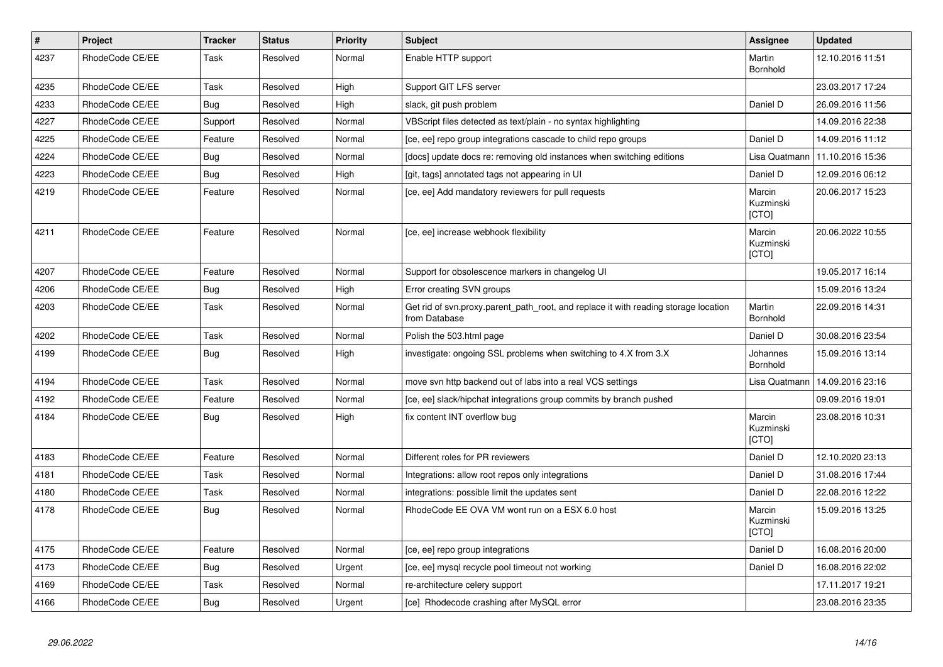| $\vert$ # | Project         | <b>Tracker</b> | <b>Status</b> | <b>Priority</b> | <b>Subject</b>                                                                                       | Assignee                            | <b>Updated</b>   |
|-----------|-----------------|----------------|---------------|-----------------|------------------------------------------------------------------------------------------------------|-------------------------------------|------------------|
| 4237      | RhodeCode CE/EE | Task           | Resolved      | Normal          | Enable HTTP support                                                                                  | Martin<br>Bornhold                  | 12.10.2016 11:51 |
| 4235      | RhodeCode CE/EE | Task           | Resolved      | High            | Support GIT LFS server                                                                               |                                     | 23.03.2017 17:24 |
| 4233      | RhodeCode CE/EE | Bug            | Resolved      | High            | slack, git push problem                                                                              | Daniel D                            | 26.09.2016 11:56 |
| 4227      | RhodeCode CE/EE | Support        | Resolved      | Normal          | VBScript files detected as text/plain - no syntax highlighting                                       |                                     | 14.09.2016 22:38 |
| 4225      | RhodeCode CE/EE | Feature        | Resolved      | Normal          | [ce, ee] repo group integrations cascade to child repo groups                                        | Daniel D                            | 14.09.2016 11:12 |
| 4224      | RhodeCode CE/EE | Bug            | Resolved      | Normal          | [docs] update docs re: removing old instances when switching editions                                | Lisa Quatmann                       | 11.10.2016 15:36 |
| 4223      | RhodeCode CE/EE | <b>Bug</b>     | Resolved      | High            | [git, tags] annotated tags not appearing in UI                                                       | Daniel D                            | 12.09.2016 06:12 |
| 4219      | RhodeCode CE/EE | Feature        | Resolved      | Normal          | [ce, ee] Add mandatory reviewers for pull requests                                                   | Marcin<br>Kuzminski<br>[CTO]        | 20.06.2017 15:23 |
| 4211      | RhodeCode CE/EE | Feature        | Resolved      | Normal          | [ce, ee] increase webhook flexibility                                                                | Marcin<br>Kuzminski<br>[CTO]        | 20.06.2022 10:55 |
| 4207      | RhodeCode CE/EE | Feature        | Resolved      | Normal          | Support for obsolescence markers in changelog UI                                                     |                                     | 19.05.2017 16:14 |
| 4206      | RhodeCode CE/EE | <b>Bug</b>     | Resolved      | High            | Error creating SVN groups                                                                            |                                     | 15.09.2016 13:24 |
| 4203      | RhodeCode CE/EE | Task           | Resolved      | Normal          | Get rid of svn.proxy.parent_path_root, and replace it with reading storage location<br>from Database | Martin<br>Bornhold                  | 22.09.2016 14:31 |
| 4202      | RhodeCode CE/EE | Task           | Resolved      | Normal          | Polish the 503.html page                                                                             | Daniel D                            | 30.08.2016 23:54 |
| 4199      | RhodeCode CE/EE | Bug            | Resolved      | High            | investigate: ongoing SSL problems when switching to 4.X from 3.X                                     | Johannes<br>Bornhold                | 15.09.2016 13:14 |
| 4194      | RhodeCode CE/EE | Task           | Resolved      | Normal          | move svn http backend out of labs into a real VCS settings                                           | Lisa Quatmann                       | 14.09.2016 23:16 |
| 4192      | RhodeCode CE/EE | Feature        | Resolved      | Normal          | [ce, ee] slack/hipchat integrations group commits by branch pushed                                   |                                     | 09.09.2016 19:01 |
| 4184      | RhodeCode CE/EE | <b>Bug</b>     | Resolved      | High            | fix content INT overflow bug                                                                         | Marcin<br>Kuzminski<br>[CTO]        | 23.08.2016 10:31 |
| 4183      | RhodeCode CE/EE | Feature        | Resolved      | Normal          | Different roles for PR reviewers                                                                     | Daniel D                            | 12.10.2020 23:13 |
| 4181      | RhodeCode CE/EE | Task           | Resolved      | Normal          | Integrations: allow root repos only integrations                                                     | Daniel D                            | 31.08.2016 17:44 |
| 4180      | RhodeCode CE/EE | Task           | Resolved      | Normal          | integrations: possible limit the updates sent                                                        | Daniel D                            | 22.08.2016 12:22 |
| 4178      | RhodeCode CE/EE | Bug            | Resolved      | Normal          | RhodeCode EE OVA VM wont run on a ESX 6.0 host                                                       | Marcin<br>Kuzminski<br><b>[CTO]</b> | 15.09.2016 13:25 |
| 4175      | RhodeCode CE/EE | Feature        | Resolved      | Normal          | [ce, ee] repo group integrations                                                                     | Daniel D                            | 16.08.2016 20:00 |
| 4173      | RhodeCode CE/EE | Bug            | Resolved      | Urgent          | [ce, ee] mysql recycle pool timeout not working                                                      | Daniel D                            | 16.08.2016 22:02 |
| 4169      | RhodeCode CE/EE | Task           | Resolved      | Normal          | re-architecture celery support                                                                       |                                     | 17.11.2017 19:21 |
| 4166      | RhodeCode CE/EE | Bug            | Resolved      | Urgent          | [ce] Rhodecode crashing after MySQL error                                                            |                                     | 23.08.2016 23:35 |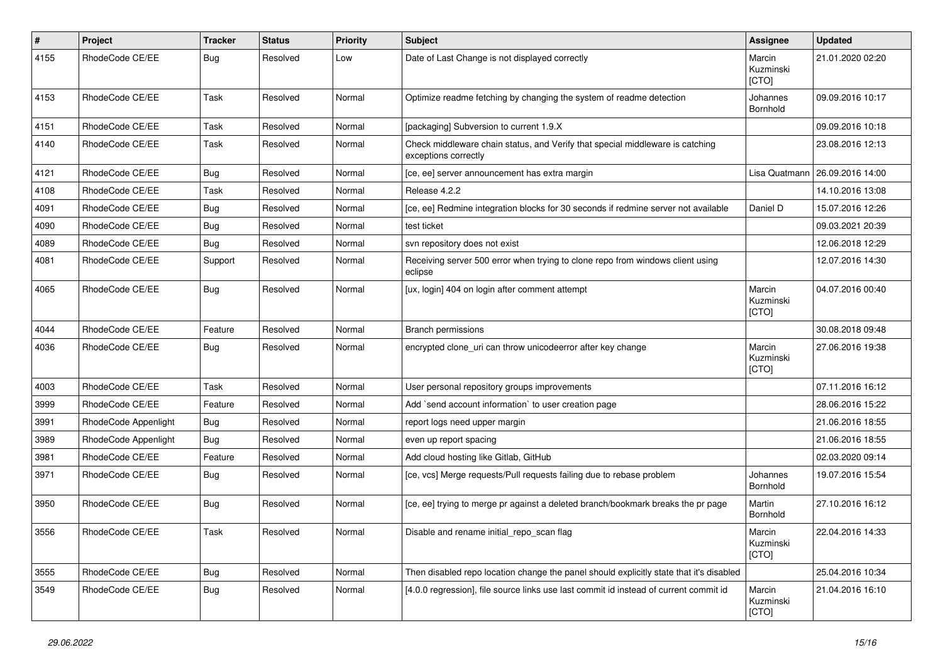| $\pmb{\#}$ | Project              | <b>Tracker</b> | <b>Status</b> | <b>Priority</b> | <b>Subject</b>                                                                                        | <b>Assignee</b>              | <b>Updated</b>   |
|------------|----------------------|----------------|---------------|-----------------|-------------------------------------------------------------------------------------------------------|------------------------------|------------------|
| 4155       | RhodeCode CE/EE      | Bug            | Resolved      | Low             | Date of Last Change is not displayed correctly                                                        | Marcin<br>Kuzminski<br>[CTO] | 21.01.2020 02:20 |
| 4153       | RhodeCode CE/EE      | Task           | Resolved      | Normal          | Optimize readme fetching by changing the system of readme detection                                   | Johannes<br>Bornhold         | 09.09.2016 10:17 |
| 4151       | RhodeCode CE/EE      | Task           | Resolved      | Normal          | [packaging] Subversion to current 1.9.X                                                               |                              | 09.09.2016 10:18 |
| 4140       | RhodeCode CE/EE      | Task           | Resolved      | Normal          | Check middleware chain status, and Verify that special middleware is catching<br>exceptions correctly |                              | 23.08.2016 12:13 |
| 4121       | RhodeCode CE/EE      | Bug            | Resolved      | Normal          | [ce, ee] server announcement has extra margin                                                         | Lisa Quatmann                | 26.09.2016 14:00 |
| 4108       | RhodeCode CE/EE      | Task           | Resolved      | Normal          | Release 4.2.2                                                                                         |                              | 14.10.2016 13:08 |
| 4091       | RhodeCode CE/EE      | Bug            | Resolved      | Normal          | [ce, ee] Redmine integration blocks for 30 seconds if redmine server not available                    | Daniel D                     | 15.07.2016 12:26 |
| 4090       | RhodeCode CE/EE      | Bug            | Resolved      | Normal          | test ticket                                                                                           |                              | 09.03.2021 20:39 |
| 4089       | RhodeCode CE/EE      | Bug            | Resolved      | Normal          | svn repository does not exist                                                                         |                              | 12.06.2018 12:29 |
| 4081       | RhodeCode CE/EE      | Support        | Resolved      | Normal          | Receiving server 500 error when trying to clone repo from windows client using<br>eclipse             |                              | 12.07.2016 14:30 |
| 4065       | RhodeCode CE/EE      | Bug            | Resolved      | Normal          | [ux, login] 404 on login after comment attempt                                                        | Marcin<br>Kuzminski<br>[CTO] | 04.07.2016 00:40 |
| 4044       | RhodeCode CE/EE      | Feature        | Resolved      | Normal          | Branch permissions                                                                                    |                              | 30.08.2018 09:48 |
| 4036       | RhodeCode CE/EE      | Bug            | Resolved      | Normal          | encrypted clone_uri can throw unicodeerror after key change                                           | Marcin<br>Kuzminski<br>[CTO] | 27.06.2016 19:38 |
| 4003       | RhodeCode CE/EE      | Task           | Resolved      | Normal          | User personal repository groups improvements                                                          |                              | 07.11.2016 16:12 |
| 3999       | RhodeCode CE/EE      | Feature        | Resolved      | Normal          | Add `send account information` to user creation page                                                  |                              | 28.06.2016 15:22 |
| 3991       | RhodeCode Appenlight | Bug            | Resolved      | Normal          | report logs need upper margin                                                                         |                              | 21.06.2016 18:55 |
| 3989       | RhodeCode Appenlight | Bug            | Resolved      | Normal          | even up report spacing                                                                                |                              | 21.06.2016 18:55 |
| 3981       | RhodeCode CE/EE      | Feature        | Resolved      | Normal          | Add cloud hosting like Gitlab, GitHub                                                                 |                              | 02.03.2020 09:14 |
| 3971       | RhodeCode CE/EE      | Bug            | Resolved      | Normal          | [ce, vcs] Merge requests/Pull requests failing due to rebase problem                                  | Johannes<br>Bornhold         | 19.07.2016 15:54 |
| 3950       | RhodeCode CE/EE      | Bug            | Resolved      | Normal          | [ce, ee] trying to merge pr against a deleted branch/bookmark breaks the pr page                      | Martin<br>Bornhold           | 27.10.2016 16:12 |
| 3556       | RhodeCode CE/EE      | Task           | Resolved      | Normal          | Disable and rename initial_repo_scan flag                                                             | Marcin<br>Kuzminski<br>[CTO] | 22.04.2016 14:33 |
| 3555       | RhodeCode CE/EE      | <b>Bug</b>     | Resolved      | Normal          | Then disabled repo location change the panel should explicitly state that it's disabled               |                              | 25.04.2016 10:34 |
| 3549       | RhodeCode CE/EE      | Bug            | Resolved      | Normal          | [4.0.0 regression], file source links use last commit id instead of current commit id                 | Marcin<br>Kuzminski<br>[CTO] | 21.04.2016 16:10 |